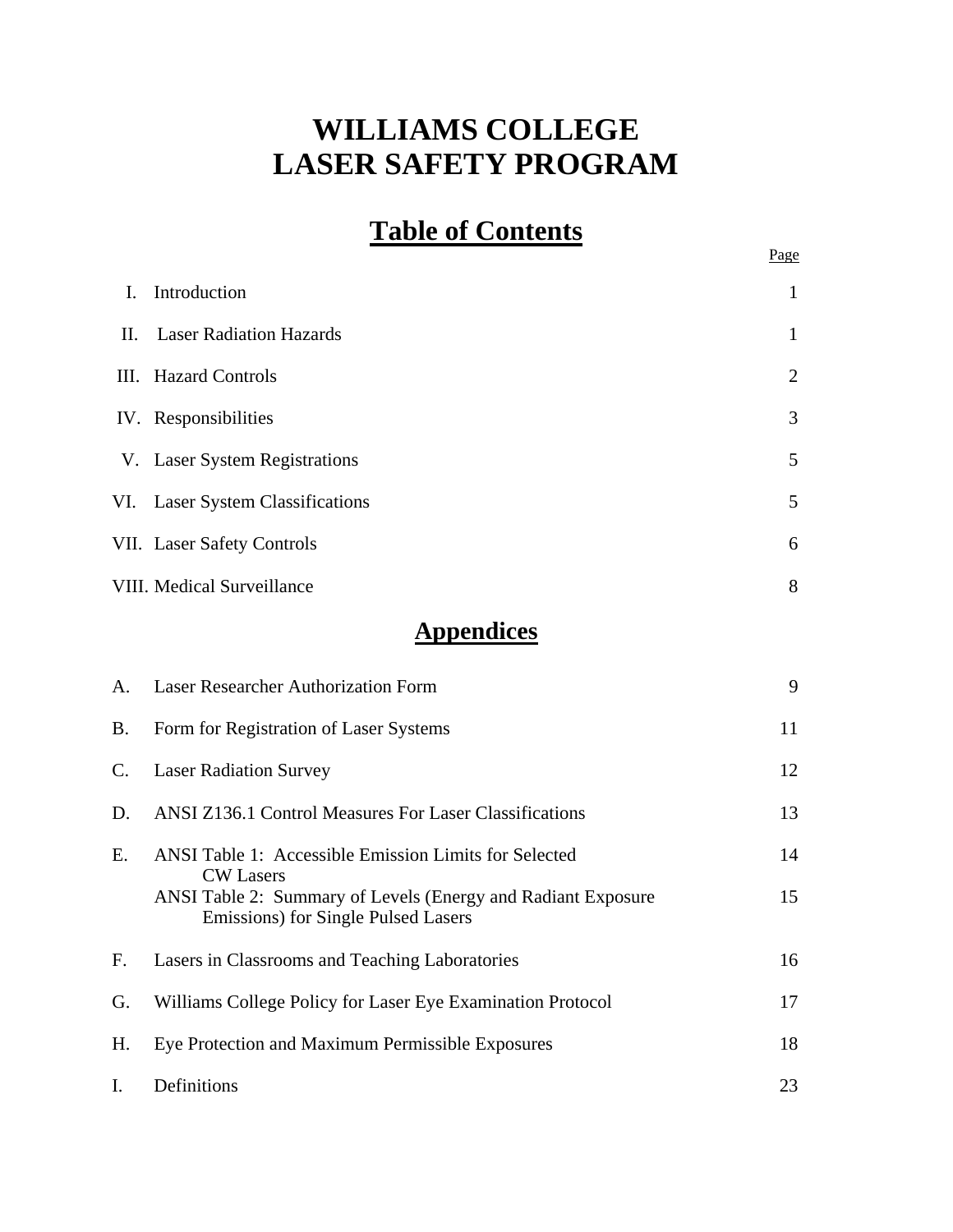# **WILLIAMS COLLEGE LASER SAFETY PROGRAM**

# **Table of Contents**

|                |                                   | Page           |
|----------------|-----------------------------------|----------------|
| $\mathbf{I}$ . | Introduction                      | $\mathbf{1}$   |
|                | II. Laser Radiation Hazards       | 1              |
|                | III. Hazard Controls              | $\overline{2}$ |
|                | IV. Responsibilities              | 3              |
|                | V. Laser System Registrations     | 5              |
|                | VI. Laser System Classifications  | 5              |
|                | VII. Laser Safety Controls        | 6              |
|                | <b>VIII. Medical Surveillance</b> | 8              |

# **Appendices**

|                | A. Laser Researcher Authorization Form                                                              | 9  |
|----------------|-----------------------------------------------------------------------------------------------------|----|
| <b>B.</b>      | Form for Registration of Laser Systems                                                              | 11 |
| C.             | <b>Laser Radiation Survey</b>                                                                       | 12 |
| D.             | ANSI Z136.1 Control Measures For Laser Classifications                                              | 13 |
| E.             | <b>ANSI Table 1: Accessible Emission Limits for Selected</b><br><b>CW Lasers</b>                    | 14 |
|                | ANSI Table 2: Summary of Levels (Energy and Radiant Exposure<br>Emissions) for Single Pulsed Lasers | 15 |
| F.             | Lasers in Classrooms and Teaching Laboratories                                                      | 16 |
| G.             | Williams College Policy for Laser Eye Examination Protocol                                          | 17 |
| Н.             | Eye Protection and Maximum Permissible Exposures                                                    | 18 |
| $\mathbf{I}$ . | Definitions                                                                                         | 23 |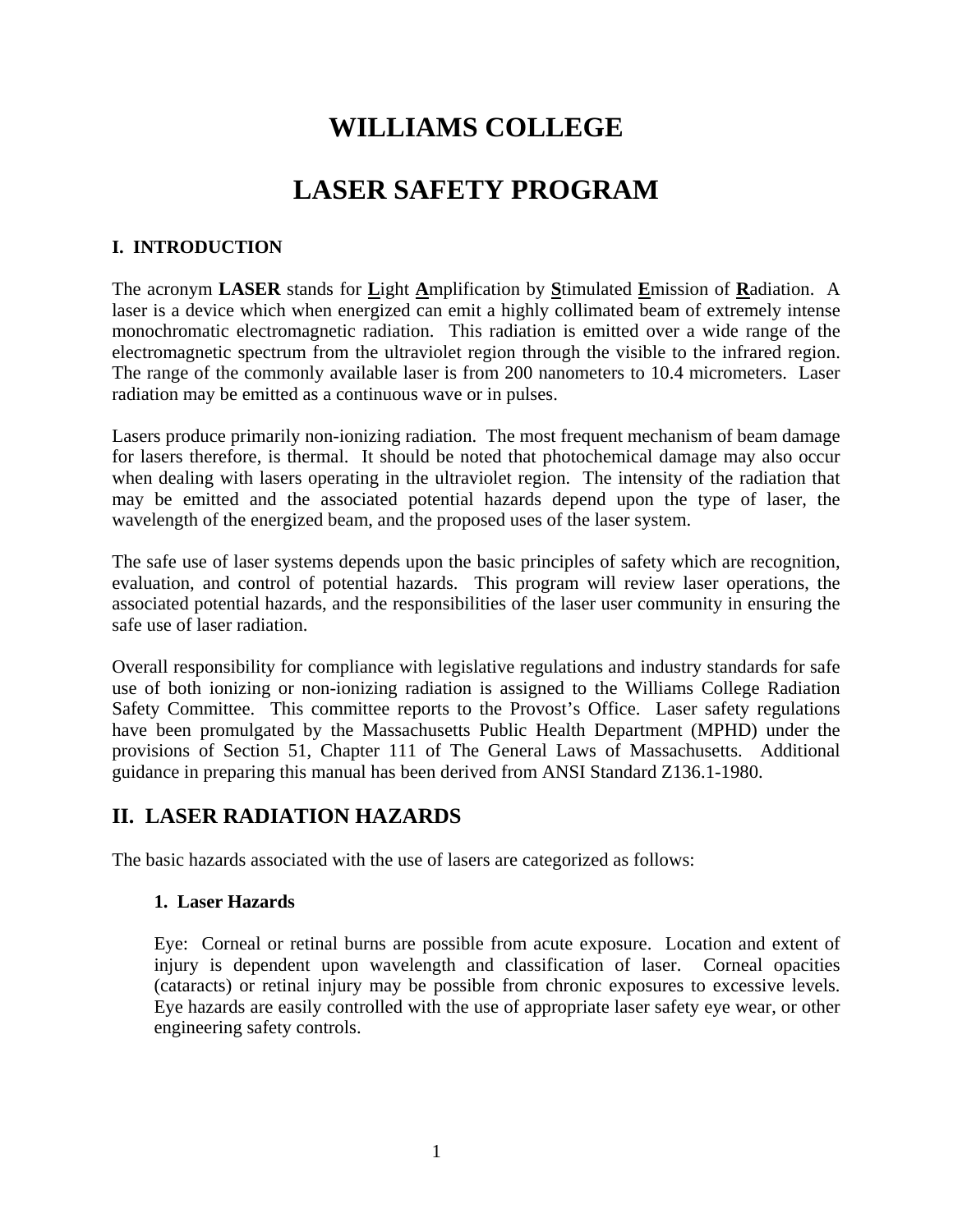# **WILLIAMS COLLEGE**

# **LASER SAFETY PROGRAM**

# **I. INTRODUCTION**

The acronym **LASER** stands for **L**ight **A**mplification by **S**timulated **E**mission of **R**adiation. A laser is a device which when energized can emit a highly collimated beam of extremely intense monochromatic electromagnetic radiation. This radiation is emitted over a wide range of the electromagnetic spectrum from the ultraviolet region through the visible to the infrared region. The range of the commonly available laser is from 200 nanometers to 10.4 micrometers. Laser radiation may be emitted as a continuous wave or in pulses.

Lasers produce primarily non-ionizing radiation. The most frequent mechanism of beam damage for lasers therefore, is thermal. It should be noted that photochemical damage may also occur when dealing with lasers operating in the ultraviolet region. The intensity of the radiation that may be emitted and the associated potential hazards depend upon the type of laser, the wavelength of the energized beam, and the proposed uses of the laser system.

The safe use of laser systems depends upon the basic principles of safety which are recognition, evaluation, and control of potential hazards. This program will review laser operations, the associated potential hazards, and the responsibilities of the laser user community in ensuring the safe use of laser radiation.

Overall responsibility for compliance with legislative regulations and industry standards for safe use of both ionizing or non-ionizing radiation is assigned to the Williams College Radiation Safety Committee. This committee reports to the Provost's Office. Laser safety regulations have been promulgated by the Massachusetts Public Health Department (MPHD) under the provisions of Section 51, Chapter 111 of The General Laws of Massachusetts. Additional guidance in preparing this manual has been derived from ANSI Standard Z136.1-1980.

# **II. LASER RADIATION HAZARDS**

The basic hazards associated with the use of lasers are categorized as follows:

### **1. Laser Hazards**

Eye: Corneal or retinal burns are possible from acute exposure. Location and extent of injury is dependent upon wavelength and classification of laser. Corneal opacities (cataracts) or retinal injury may be possible from chronic exposures to excessive levels. Eye hazards are easily controlled with the use of appropriate laser safety eye wear, or other engineering safety controls.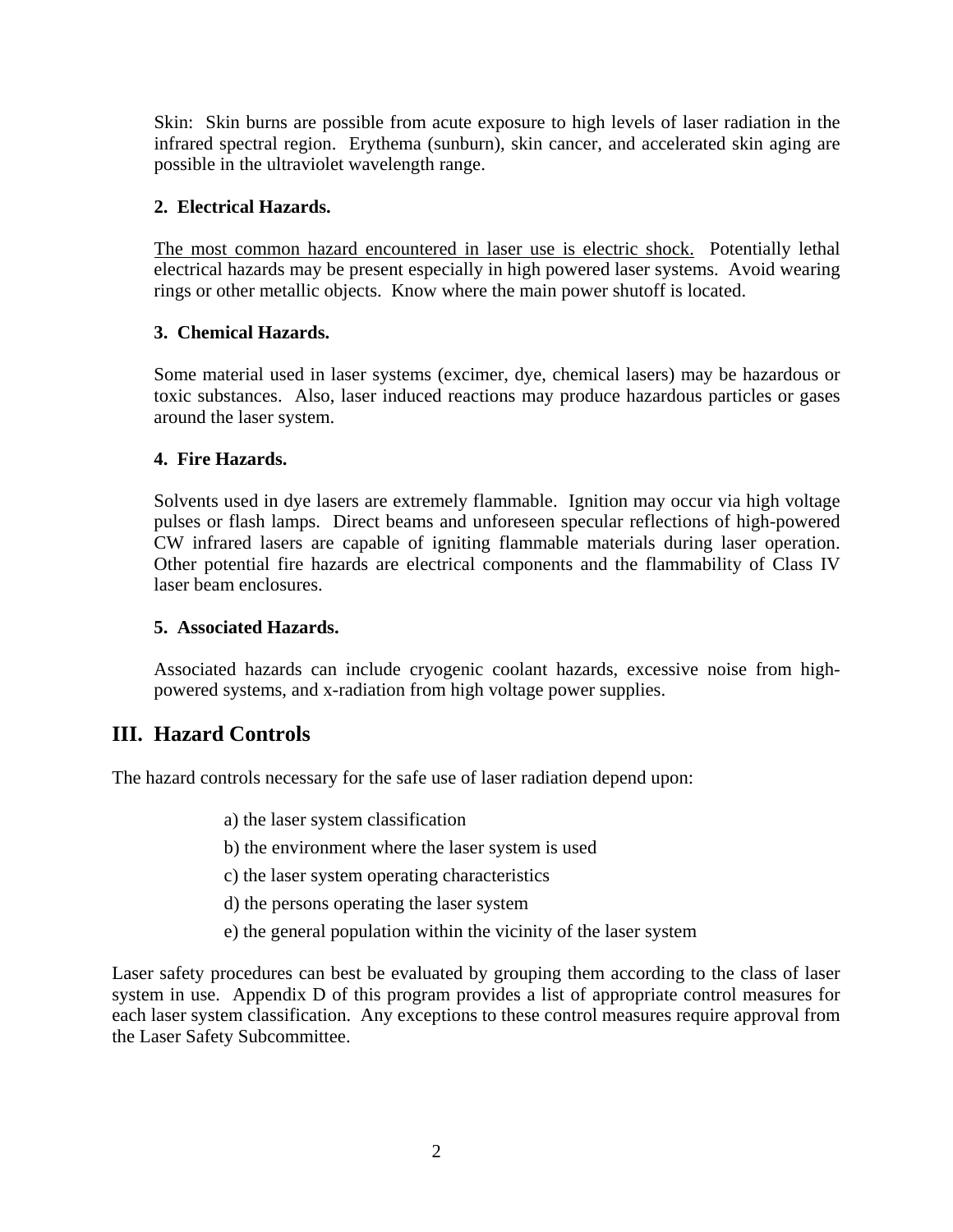Skin: Skin burns are possible from acute exposure to high levels of laser radiation in the infrared spectral region. Erythema (sunburn), skin cancer, and accelerated skin aging are possible in the ultraviolet wavelength range.

## **2. Electrical Hazards.**

The most common hazard encountered in laser use is electric shock. Potentially lethal electrical hazards may be present especially in high powered laser systems. Avoid wearing rings or other metallic objects. Know where the main power shutoff is located.

## **3. Chemical Hazards.**

Some material used in laser systems (excimer, dye, chemical lasers) may be hazardous or toxic substances. Also, laser induced reactions may produce hazardous particles or gases around the laser system.

### **4. Fire Hazards.**

Solvents used in dye lasers are extremely flammable. Ignition may occur via high voltage pulses or flash lamps. Direct beams and unforeseen specular reflections of high-powered CW infrared lasers are capable of igniting flammable materials during laser operation. Other potential fire hazards are electrical components and the flammability of Class IV laser beam enclosures.

### **5. Associated Hazards.**

Associated hazards can include cryogenic coolant hazards, excessive noise from highpowered systems, and x-radiation from high voltage power supplies.

# **III. Hazard Controls**

The hazard controls necessary for the safe use of laser radiation depend upon:

- a) the laser system classification
- b) the environment where the laser system is used
- c) the laser system operating characteristics
- d) the persons operating the laser system
- e) the general population within the vicinity of the laser system

Laser safety procedures can best be evaluated by grouping them according to the class of laser system in use. Appendix D of this program provides a list of appropriate control measures for each laser system classification. Any exceptions to these control measures require approval from the Laser Safety Subcommittee.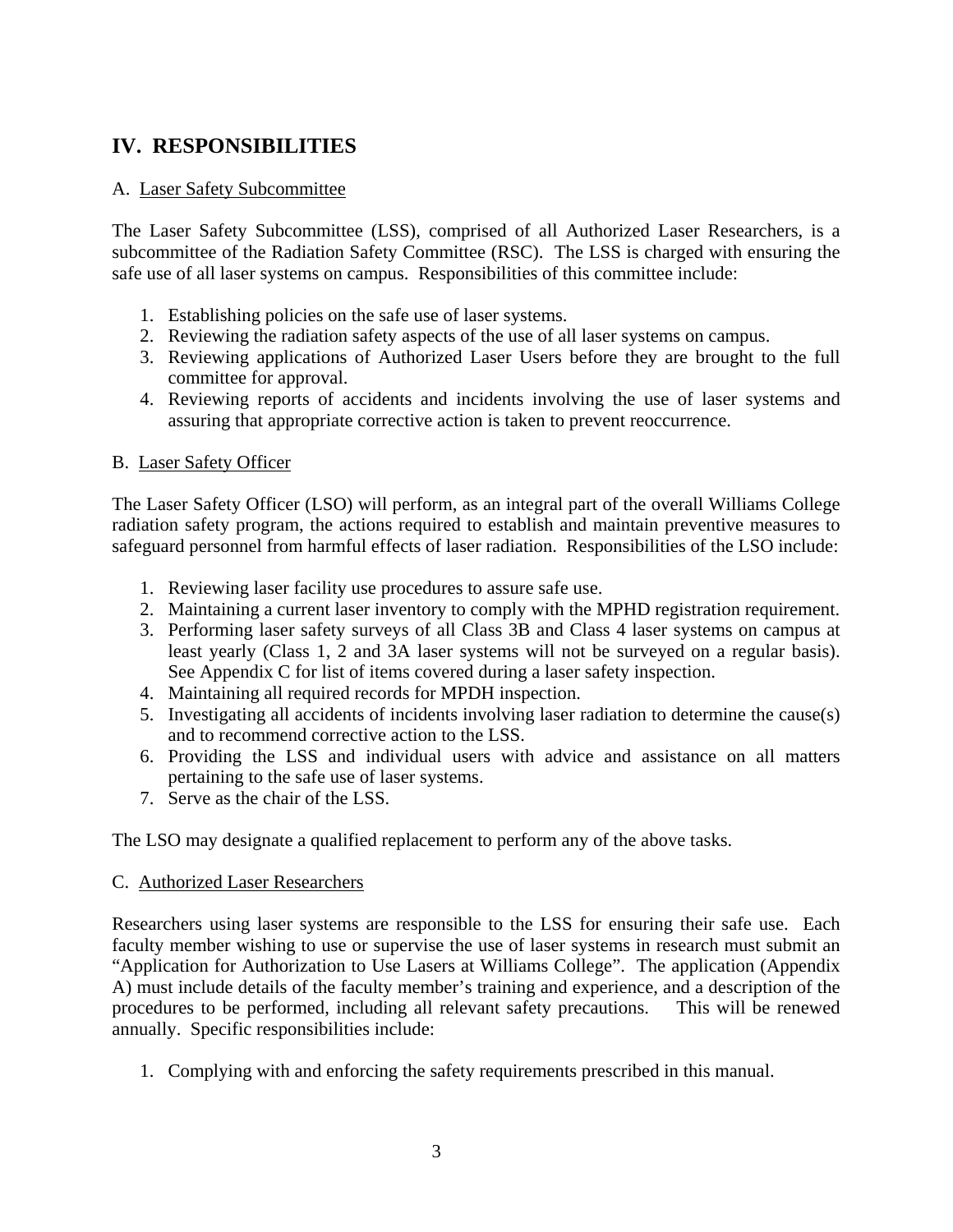# **IV. RESPONSIBILITIES**

## A. Laser Safety Subcommittee

The Laser Safety Subcommittee (LSS), comprised of all Authorized Laser Researchers, is a subcommittee of the Radiation Safety Committee (RSC). The LSS is charged with ensuring the safe use of all laser systems on campus. Responsibilities of this committee include:

- 1. Establishing policies on the safe use of laser systems.
- 2. Reviewing the radiation safety aspects of the use of all laser systems on campus.
- 3. Reviewing applications of Authorized Laser Users before they are brought to the full committee for approval.
- 4. Reviewing reports of accidents and incidents involving the use of laser systems and assuring that appropriate corrective action is taken to prevent reoccurrence.

### B. Laser Safety Officer

The Laser Safety Officer (LSO) will perform, as an integral part of the overall Williams College radiation safety program, the actions required to establish and maintain preventive measures to safeguard personnel from harmful effects of laser radiation. Responsibilities of the LSO include:

- 1. Reviewing laser facility use procedures to assure safe use.
- 2. Maintaining a current laser inventory to comply with the MPHD registration requirement.
- 3. Performing laser safety surveys of all Class 3B and Class 4 laser systems on campus at least yearly (Class 1, 2 and 3A laser systems will not be surveyed on a regular basis). See Appendix C for list of items covered during a laser safety inspection.
- 4. Maintaining all required records for MPDH inspection.
- 5. Investigating all accidents of incidents involving laser radiation to determine the cause(s) and to recommend corrective action to the LSS.
- 6. Providing the LSS and individual users with advice and assistance on all matters pertaining to the safe use of laser systems.
- 7. Serve as the chair of the LSS.

The LSO may designate a qualified replacement to perform any of the above tasks.

### C. Authorized Laser Researchers

Researchers using laser systems are responsible to the LSS for ensuring their safe use. Each faculty member wishing to use or supervise the use of laser systems in research must submit an "Application for Authorization to Use Lasers at Williams College". The application (Appendix A) must include details of the faculty member's training and experience, and a description of the procedures to be performed, including all relevant safety precautions. This will be renewed annually. Specific responsibilities include:

1. Complying with and enforcing the safety requirements prescribed in this manual.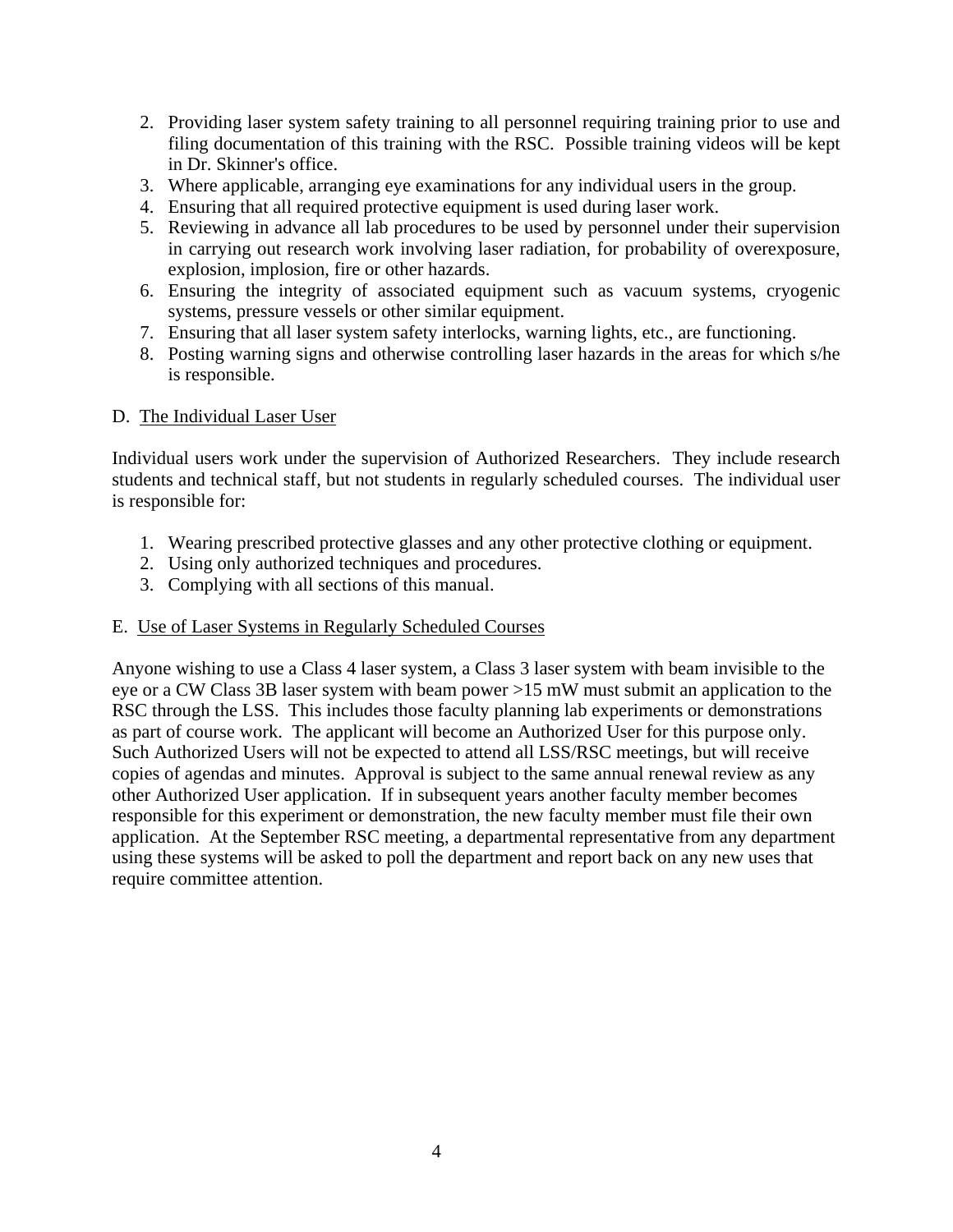- 2. Providing laser system safety training to all personnel requiring training prior to use and filing documentation of this training with the RSC. Possible training videos will be kept in Dr. Skinner's office.
- 3. Where applicable, arranging eye examinations for any individual users in the group.
- 4. Ensuring that all required protective equipment is used during laser work.
- 5. Reviewing in advance all lab procedures to be used by personnel under their supervision in carrying out research work involving laser radiation, for probability of overexposure, explosion, implosion, fire or other hazards.
- 6. Ensuring the integrity of associated equipment such as vacuum systems, cryogenic systems, pressure vessels or other similar equipment.
- 7. Ensuring that all laser system safety interlocks, warning lights, etc., are functioning.
- 8. Posting warning signs and otherwise controlling laser hazards in the areas for which s/he is responsible.

### D. The Individual Laser User

Individual users work under the supervision of Authorized Researchers. They include research students and technical staff, but not students in regularly scheduled courses. The individual user is responsible for:

- 1. Wearing prescribed protective glasses and any other protective clothing or equipment.
- 2. Using only authorized techniques and procedures.
- 3. Complying with all sections of this manual.

### E. Use of Laser Systems in Regularly Scheduled Courses

Anyone wishing to use a Class 4 laser system, a Class 3 laser system with beam invisible to the eye or a CW Class 3B laser system with beam power >15 mW must submit an application to the RSC through the LSS. This includes those faculty planning lab experiments or demonstrations as part of course work. The applicant will become an Authorized User for this purpose only. Such Authorized Users will not be expected to attend all LSS/RSC meetings, but will receive copies of agendas and minutes. Approval is subject to the same annual renewal review as any other Authorized User application. If in subsequent years another faculty member becomes responsible for this experiment or demonstration, the new faculty member must file their own application. At the September RSC meeting, a departmental representative from any department using these systems will be asked to poll the department and report back on any new uses that require committee attention.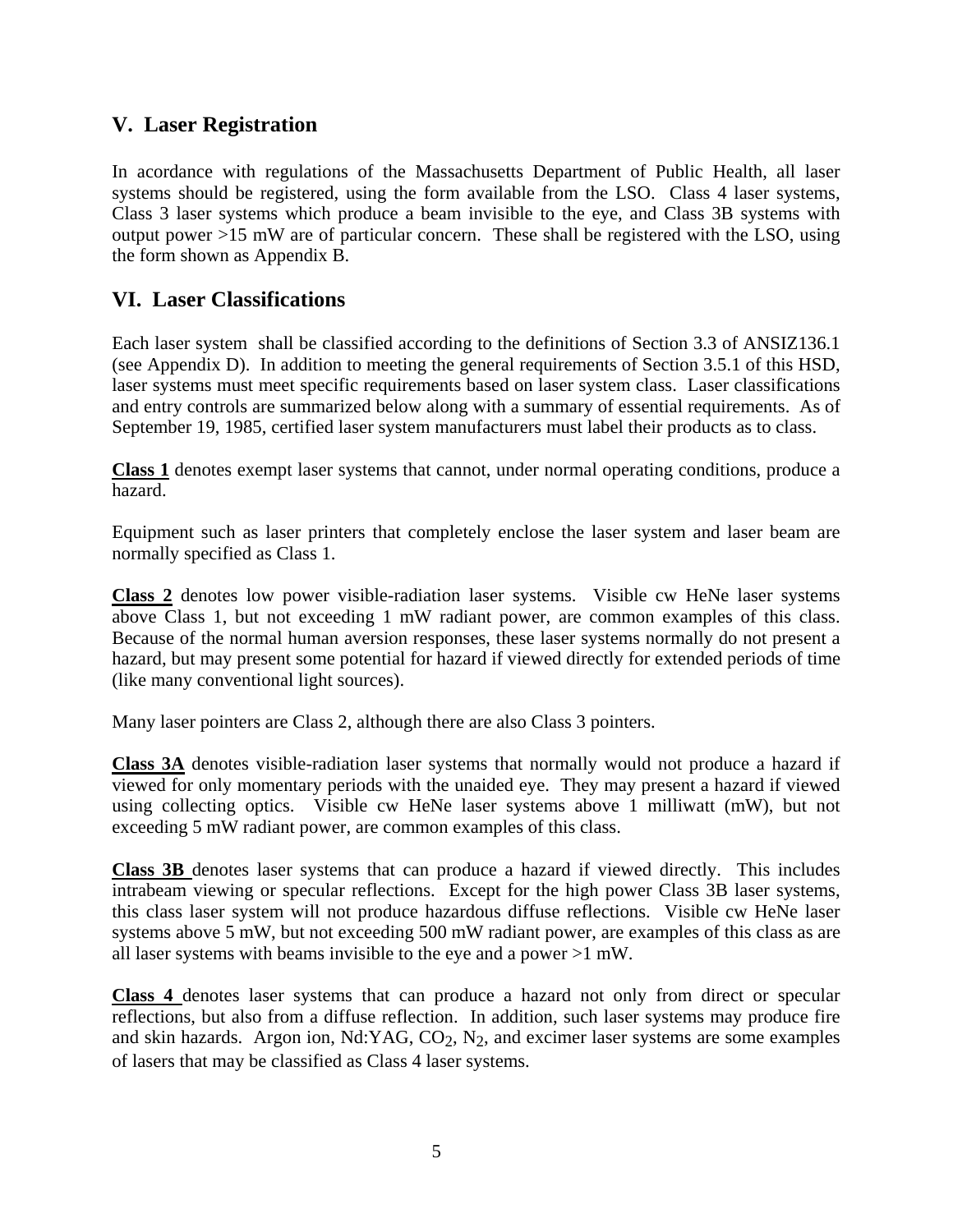# **V. Laser Registration**

In acordance with regulations of the Massachusetts Department of Public Health, all laser systems should be registered, using the form available from the LSO. Class 4 laser systems, Class 3 laser systems which produce a beam invisible to the eye, and Class 3B systems with output power >15 mW are of particular concern. These shall be registered with the LSO, using the form shown as Appendix B.

# **VI. Laser Classifications**

Each laser system shall be classified according to the definitions of Section 3.3 of ANSIZ136.1 (see Appendix D). In addition to meeting the general requirements of Section 3.5.1 of this HSD, laser systems must meet specific requirements based on laser system class. Laser classifications and entry controls are summarized below along with a summary of essential requirements. As of September 19, 1985, certified laser system manufacturers must label their products as to class.

**Class 1** denotes exempt laser systems that cannot, under normal operating conditions, produce a hazard.

Equipment such as laser printers that completely enclose the laser system and laser beam are normally specified as Class 1.

**Class 2** denotes low power visible-radiation laser systems. Visible cw HeNe laser systems above Class 1, but not exceeding 1 mW radiant power, are common examples of this class. Because of the normal human aversion responses, these laser systems normally do not present a hazard, but may present some potential for hazard if viewed directly for extended periods of time (like many conventional light sources).

Many laser pointers are Class 2, although there are also Class 3 pointers.

**Class 3A** denotes visible-radiation laser systems that normally would not produce a hazard if viewed for only momentary periods with the unaided eye. They may present a hazard if viewed using collecting optics. Visible cw HeNe laser systems above 1 milliwatt (mW), but not exceeding 5 mW radiant power, are common examples of this class.

**Class 3B** denotes laser systems that can produce a hazard if viewed directly. This includes intrabeam viewing or specular reflections. Except for the high power Class 3B laser systems, this class laser system will not produce hazardous diffuse reflections. Visible cw HeNe laser systems above 5 mW, but not exceeding 500 mW radiant power, are examples of this class as are all laser systems with beams invisible to the eye and a power >1 mW.

**Class 4** denotes laser systems that can produce a hazard not only from direct or specular reflections, but also from a diffuse reflection. In addition, such laser systems may produce fire and skin hazards. Argon ion, Nd:YAG,  $CO<sub>2</sub>$ , N<sub>2</sub>, and excimer laser systems are some examples of lasers that may be classified as Class 4 laser systems.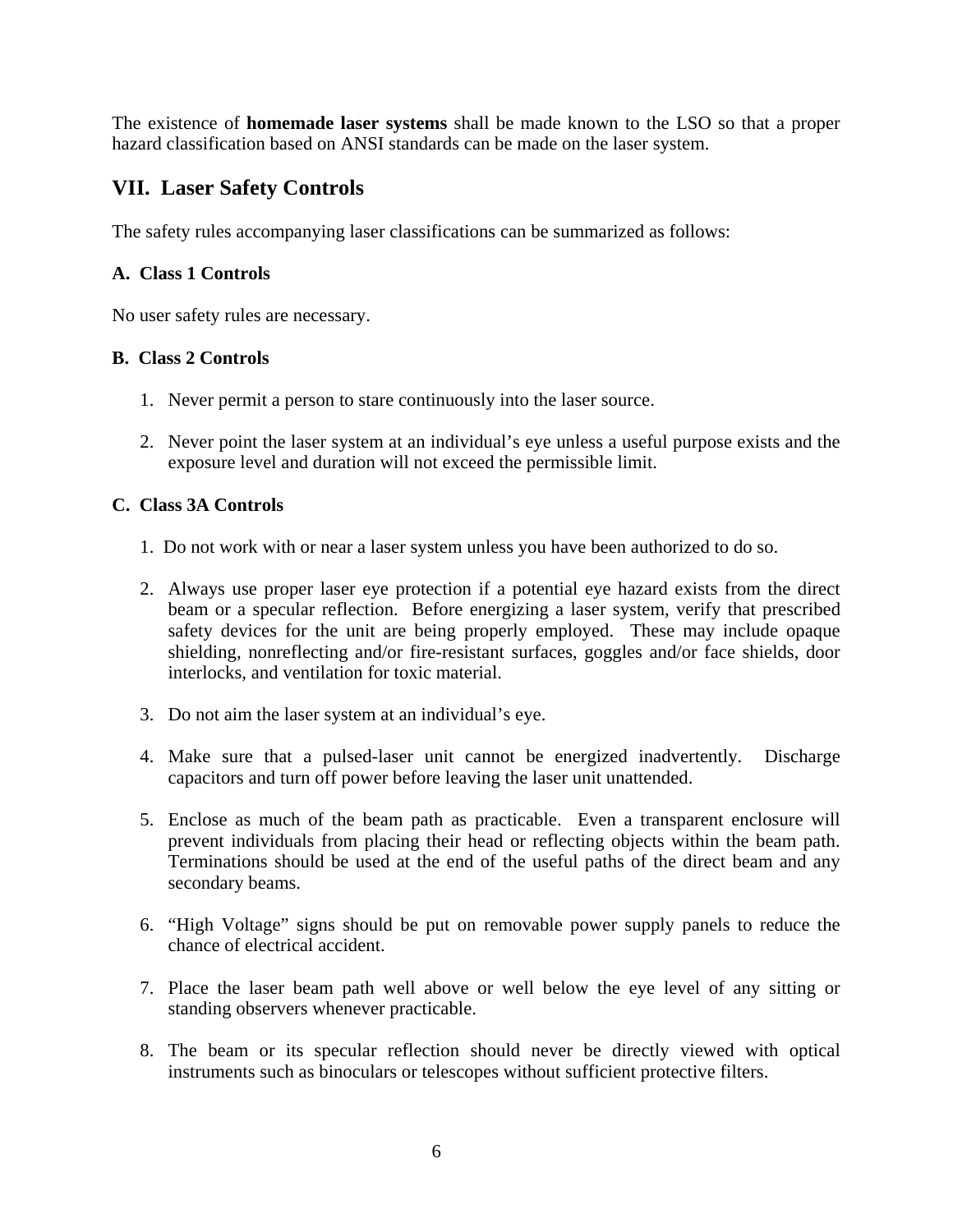The existence of **homemade laser systems** shall be made known to the LSO so that a proper hazard classification based on ANSI standards can be made on the laser system.

# **VII. Laser Safety Controls**

The safety rules accompanying laser classifications can be summarized as follows:

### **A. Class 1 Controls**

No user safety rules are necessary.

### **B. Class 2 Controls**

- 1. Never permit a person to stare continuously into the laser source.
- 2. Never point the laser system at an individual's eye unless a useful purpose exists and the exposure level and duration will not exceed the permissible limit.

### **C. Class 3A Controls**

- 1. Do not work with or near a laser system unless you have been authorized to do so.
- 2. Always use proper laser eye protection if a potential eye hazard exists from the direct beam or a specular reflection. Before energizing a laser system, verify that prescribed safety devices for the unit are being properly employed. These may include opaque shielding, nonreflecting and/or fire-resistant surfaces, goggles and/or face shields, door interlocks, and ventilation for toxic material.
- 3. Do not aim the laser system at an individual's eye.
- 4. Make sure that a pulsed-laser unit cannot be energized inadvertently. Discharge capacitors and turn off power before leaving the laser unit unattended.
- 5. Enclose as much of the beam path as practicable. Even a transparent enclosure will prevent individuals from placing their head or reflecting objects within the beam path. Terminations should be used at the end of the useful paths of the direct beam and any secondary beams.
- 6. "High Voltage" signs should be put on removable power supply panels to reduce the chance of electrical accident.
- 7. Place the laser beam path well above or well below the eye level of any sitting or standing observers whenever practicable.
- 8. The beam or its specular reflection should never be directly viewed with optical instruments such as binoculars or telescopes without sufficient protective filters.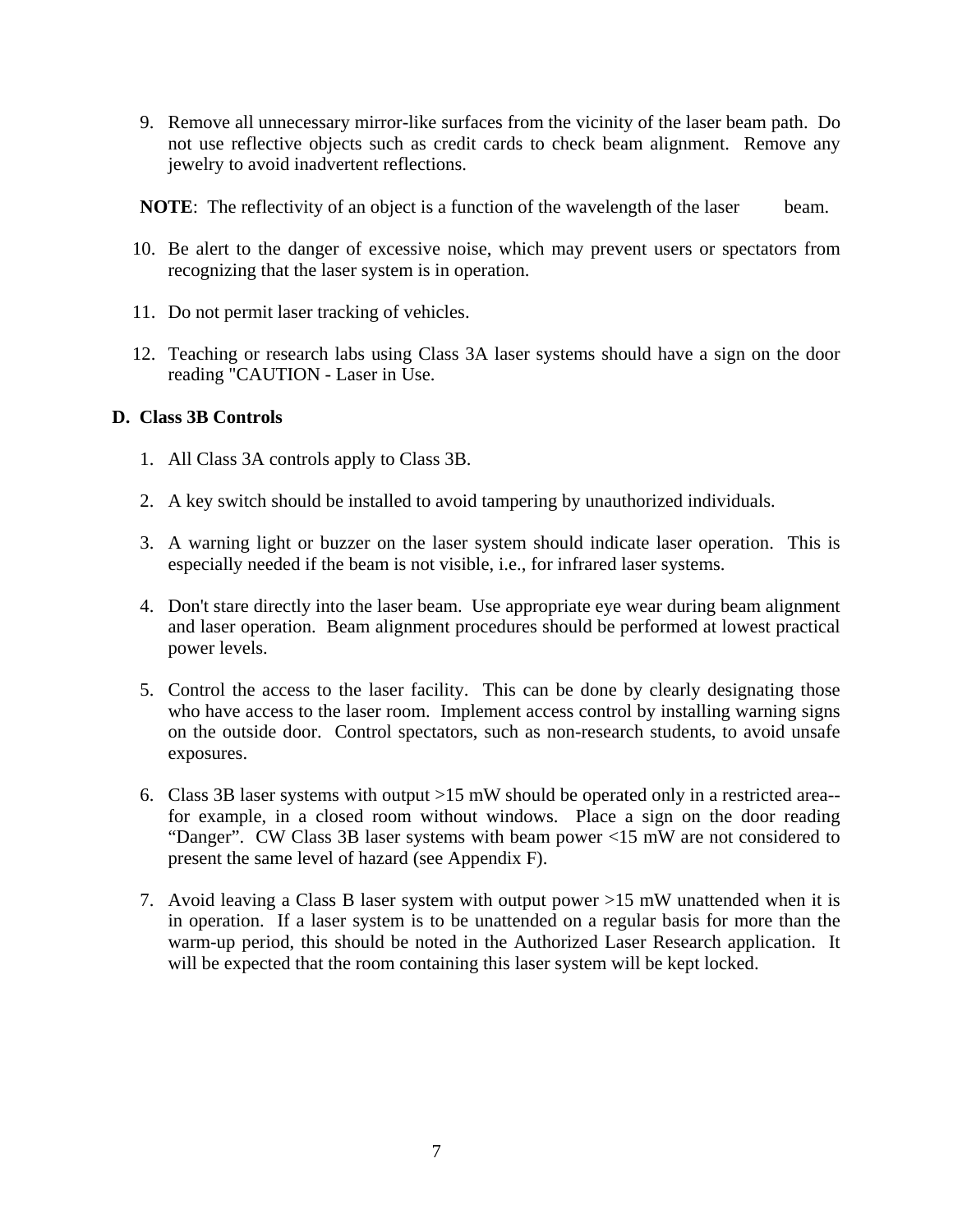9. Remove all unnecessary mirror-like surfaces from the vicinity of the laser beam path. Do not use reflective objects such as credit cards to check beam alignment. Remove any jewelry to avoid inadvertent reflections.

**NOTE:** The reflectivity of an object is a function of the wavelength of the laser beam.

- 10. Be alert to the danger of excessive noise, which may prevent users or spectators from recognizing that the laser system is in operation.
- 11. Do not permit laser tracking of vehicles.
- 12. Teaching or research labs using Class 3A laser systems should have a sign on the door reading "CAUTION - Laser in Use.

### **D. Class 3B Controls**

- 1. All Class 3A controls apply to Class 3B.
- 2. A key switch should be installed to avoid tampering by unauthorized individuals.
- 3. A warning light or buzzer on the laser system should indicate laser operation. This is especially needed if the beam is not visible, i.e., for infrared laser systems.
- 4. Don't stare directly into the laser beam. Use appropriate eye wear during beam alignment and laser operation. Beam alignment procedures should be performed at lowest practical power levels.
- 5. Control the access to the laser facility. This can be done by clearly designating those who have access to the laser room. Implement access control by installing warning signs on the outside door. Control spectators, such as non-research students, to avoid unsafe exposures.
- 6. Class 3B laser systems with output >15 mW should be operated only in a restricted area- for example, in a closed room without windows. Place a sign on the door reading "Danger". CW Class 3B laser systems with beam power <15 mW are not considered to present the same level of hazard (see Appendix F).
- 7. Avoid leaving a Class B laser system with output power >15 mW unattended when it is in operation. If a laser system is to be unattended on a regular basis for more than the warm-up period, this should be noted in the Authorized Laser Research application. It will be expected that the room containing this laser system will be kept locked.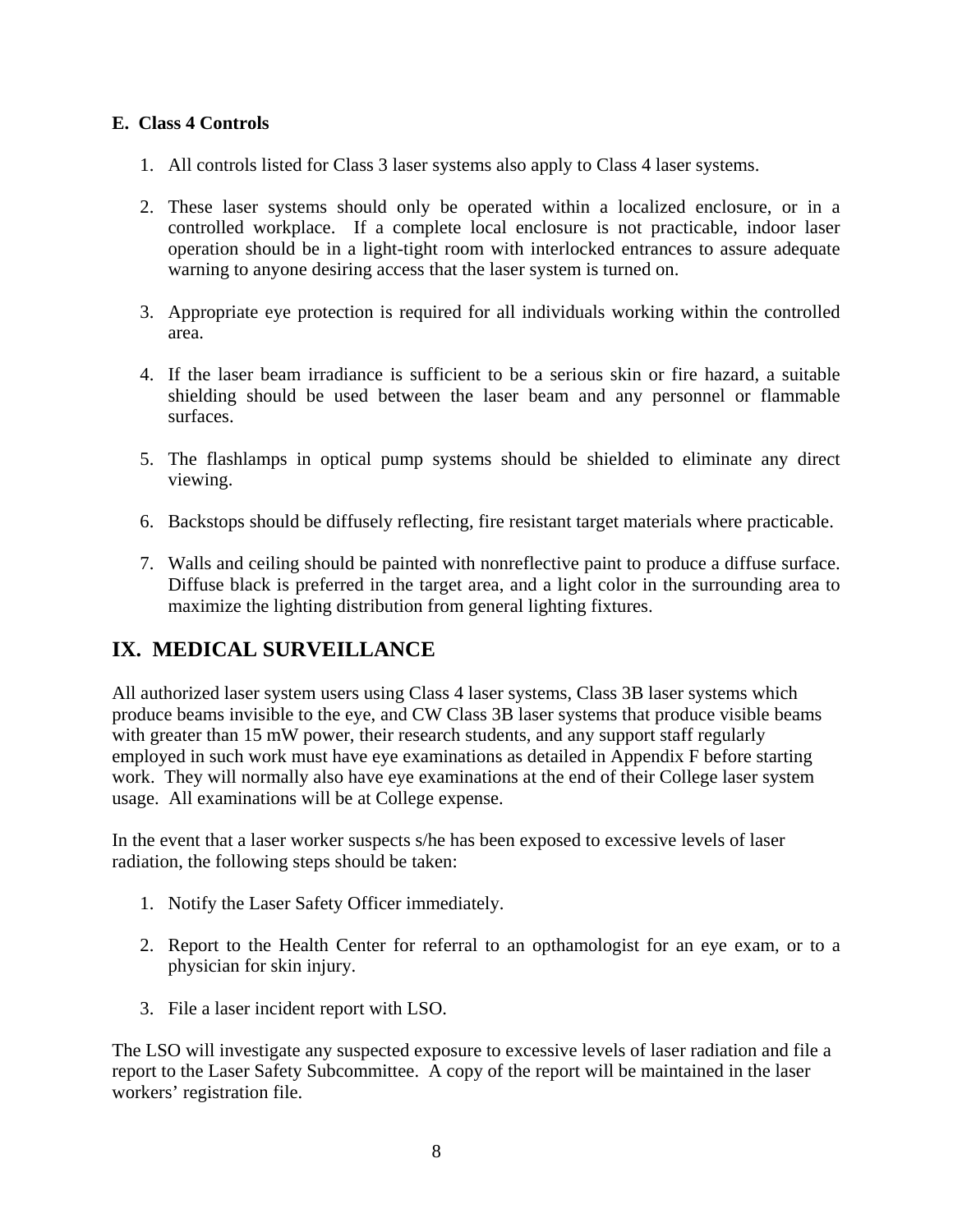## **E. Class 4 Controls**

- 1. All controls listed for Class 3 laser systems also apply to Class 4 laser systems.
- 2. These laser systems should only be operated within a localized enclosure, or in a controlled workplace. If a complete local enclosure is not practicable, indoor laser operation should be in a light-tight room with interlocked entrances to assure adequate warning to anyone desiring access that the laser system is turned on.
- 3. Appropriate eye protection is required for all individuals working within the controlled area.
- 4. If the laser beam irradiance is sufficient to be a serious skin or fire hazard, a suitable shielding should be used between the laser beam and any personnel or flammable surfaces.
- 5. The flashlamps in optical pump systems should be shielded to eliminate any direct viewing.
- 6. Backstops should be diffusely reflecting, fire resistant target materials where practicable.
- 7. Walls and ceiling should be painted with nonreflective paint to produce a diffuse surface. Diffuse black is preferred in the target area, and a light color in the surrounding area to maximize the lighting distribution from general lighting fixtures.

# **IX. MEDICAL SURVEILLANCE**

All authorized laser system users using Class 4 laser systems, Class 3B laser systems which produce beams invisible to the eye, and CW Class 3B laser systems that produce visible beams with greater than 15 mW power, their research students, and any support staff regularly employed in such work must have eye examinations as detailed in Appendix F before starting work. They will normally also have eye examinations at the end of their College laser system usage. All examinations will be at College expense.

In the event that a laser worker suspects s/he has been exposed to excessive levels of laser radiation, the following steps should be taken:

- 1. Notify the Laser Safety Officer immediately.
- 2. Report to the Health Center for referral to an opthamologist for an eye exam, or to a physician for skin injury.
- 3. File a laser incident report with LSO.

The LSO will investigate any suspected exposure to excessive levels of laser radiation and file a report to the Laser Safety Subcommittee. A copy of the report will be maintained in the laser workers' registration file.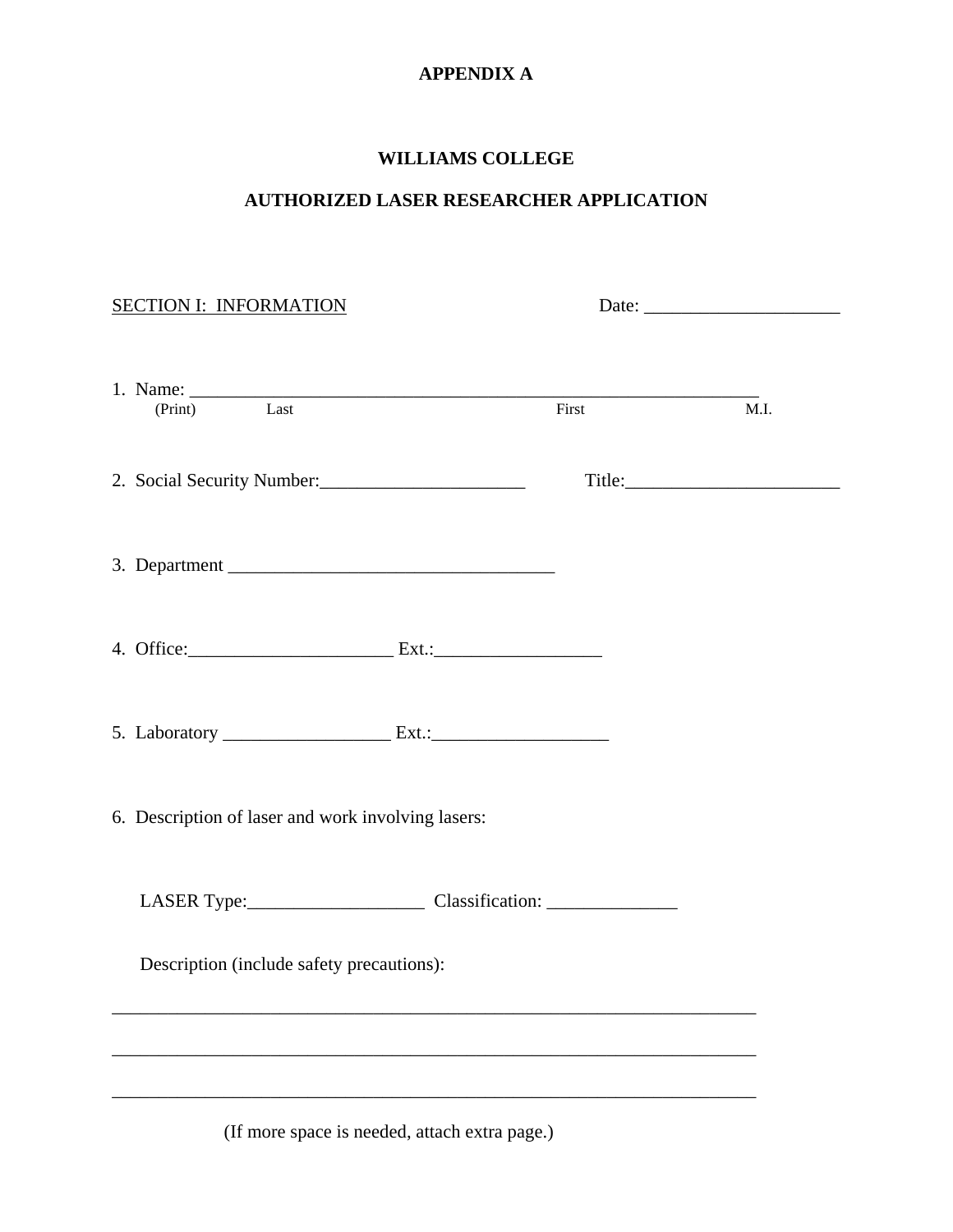# **APPENDIX A**

# **WILLIAMS COLLEGE**

# **AUTHORIZED LASER RESEARCHER APPLICATION**

| <b>SECTION I: INFORMATION</b>                      |      |  |  |  |
|----------------------------------------------------|------|--|--|--|
| 1. Name: <u>(Print)</u> Last First                 | M.I. |  |  |  |
| 2. Social Security Number:                         |      |  |  |  |
|                                                    |      |  |  |  |
|                                                    |      |  |  |  |
|                                                    |      |  |  |  |
| 6. Description of laser and work involving lasers: |      |  |  |  |
|                                                    |      |  |  |  |
| Description (include safety precautions):          |      |  |  |  |
|                                                    |      |  |  |  |
|                                                    |      |  |  |  |

(If more space is needed, attach extra page.)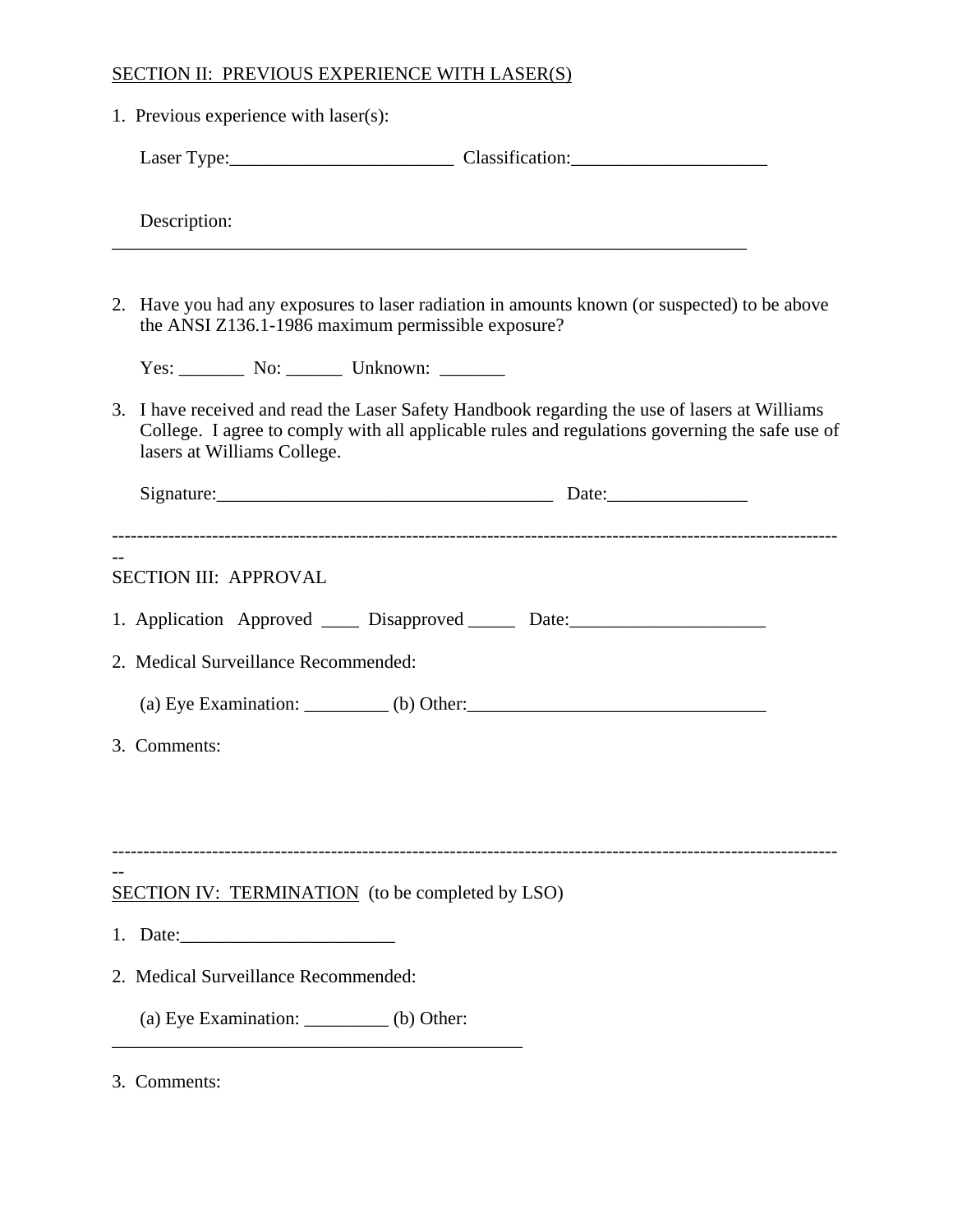# SECTION II: PREVIOUS EXPERIENCE WITH LASER(S)

| 1. Previous experience with laser(s):                                                                                                                                                                                            |                                                                                                                                                                                                 |
|----------------------------------------------------------------------------------------------------------------------------------------------------------------------------------------------------------------------------------|-------------------------------------------------------------------------------------------------------------------------------------------------------------------------------------------------|
|                                                                                                                                                                                                                                  |                                                                                                                                                                                                 |
| Description:                                                                                                                                                                                                                     |                                                                                                                                                                                                 |
| the ANSI Z136.1-1986 maximum permissible exposure?                                                                                                                                                                               | 2. Have you had any exposures to laser radiation in amounts known (or suspected) to be above                                                                                                    |
| Yes: _________ No: _______ Unknown: _______                                                                                                                                                                                      |                                                                                                                                                                                                 |
| lasers at Williams College.                                                                                                                                                                                                      | 3. I have received and read the Laser Safety Handbook regarding the use of lasers at Williams<br>College. I agree to comply with all applicable rules and regulations governing the safe use of |
|                                                                                                                                                                                                                                  | Signature: Date: Date:                                                                                                                                                                          |
| <b>SECTION III: APPROVAL</b><br>2. Medical Surveillance Recommended:<br>3. Comments:                                                                                                                                             | 1. Application Approved _____ Disapproved ______ Date: _________________________<br>(a) Eye Examination: $\qquad \qquad$ (b) Other: $\qquad \qquad$                                             |
| <b>SECTION IV: TERMINATION</b> (to be completed by LSO)                                                                                                                                                                          |                                                                                                                                                                                                 |
| 1. Date: 1. 2010 1. 2010 1. 2010 1. 2010 1. 2010 1. 2010 1. 2010 1. 2010 1. 2010 1. 2010 1. 2010 1. 2010 1. 20<br>2010 1. 2010 1. 2010 1. 2010 1. 2010 1. 2010 1. 2010 1. 2010 1. 2010 1. 2010 1. 2010 1. 2010 1. 2010 1. 2010 1 |                                                                                                                                                                                                 |
| 2. Medical Surveillance Recommended:                                                                                                                                                                                             |                                                                                                                                                                                                 |
| (a) Eye Examination: $\_\_\_\_\_$ (b) Other:                                                                                                                                                                                     |                                                                                                                                                                                                 |
|                                                                                                                                                                                                                                  |                                                                                                                                                                                                 |

# 3. Comments: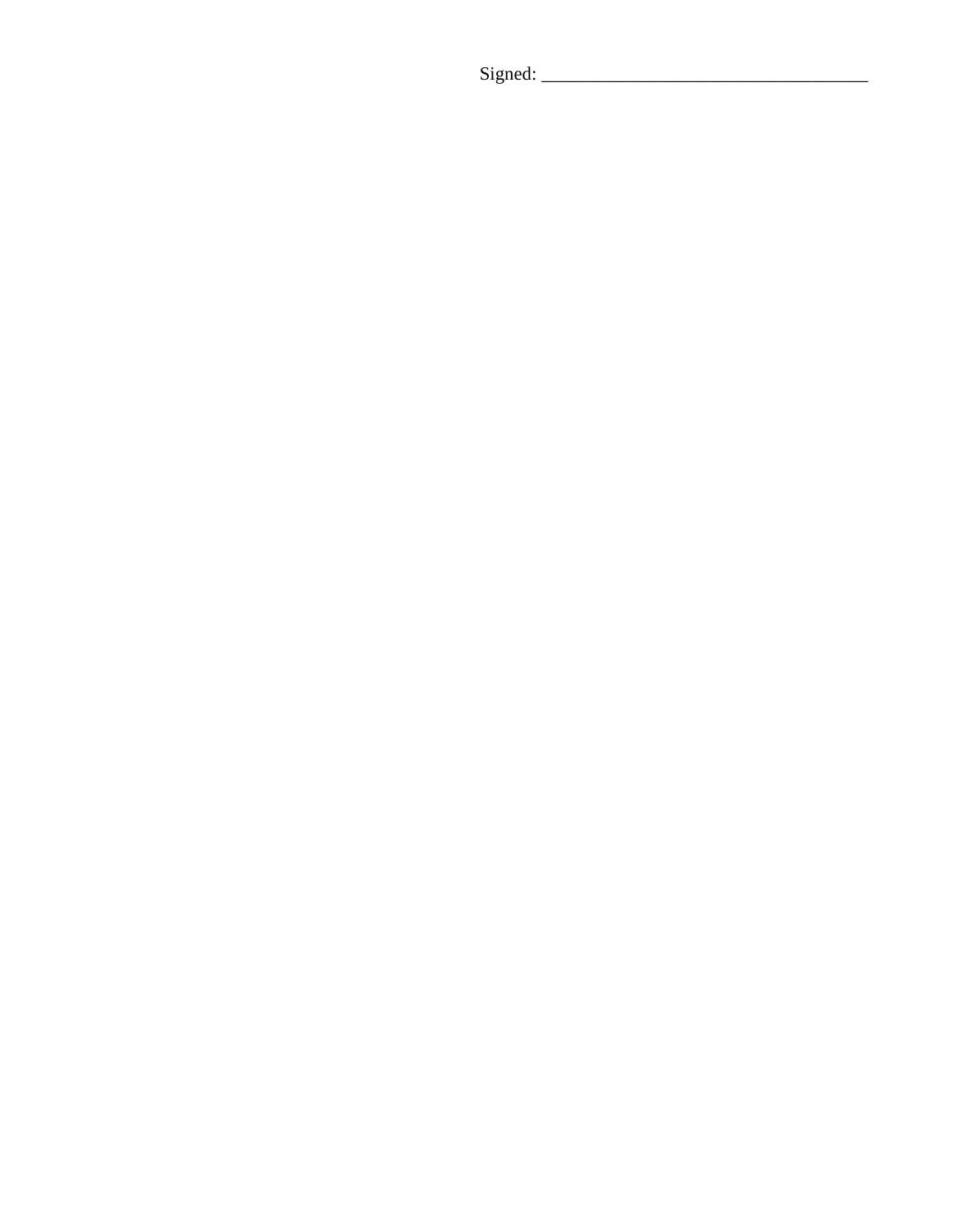| Signed: |  |
|---------|--|
|         |  |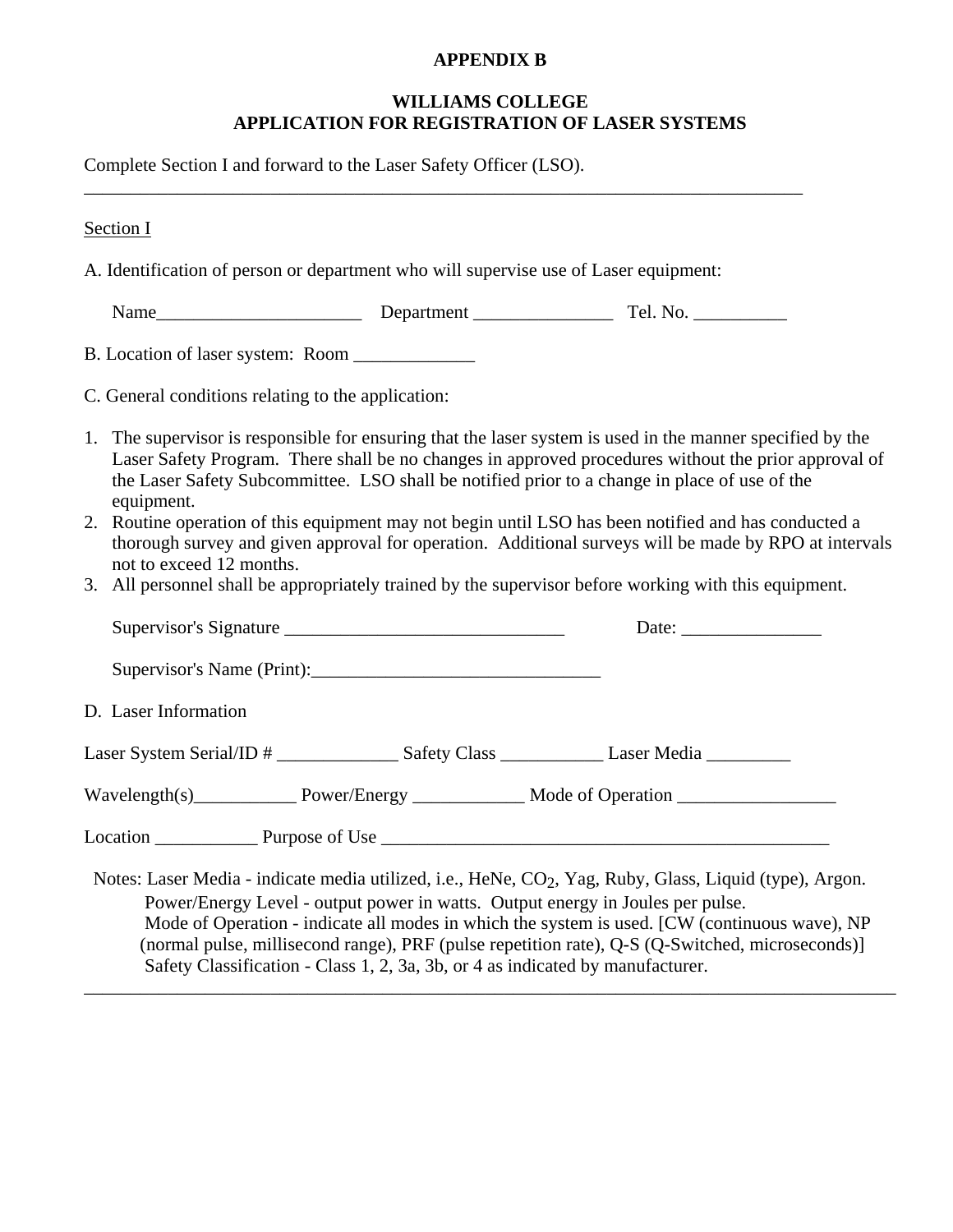#### **APPENDIX B**

### **WILLIAMS COLLEGE APPLICATION FOR REGISTRATION OF LASER SYSTEMS**

Complete Section I and forward to the Laser Safety Officer (LSO).

### Section I

A. Identification of person or department who will supervise use of Laser equipment:

Name\_\_\_\_\_\_\_\_\_\_\_\_\_\_\_\_\_\_\_\_\_\_ Department \_\_\_\_\_\_\_\_\_\_\_\_\_\_\_ Tel. No. \_\_\_\_\_\_\_\_\_\_

\_\_\_\_\_\_\_\_\_\_\_\_\_\_\_\_\_\_\_\_\_\_\_\_\_\_\_\_\_\_\_\_\_\_\_\_\_\_\_\_\_\_\_\_\_\_\_\_\_\_\_\_\_\_\_\_\_\_\_\_\_\_\_\_\_\_\_\_\_\_\_\_\_\_\_\_\_

B. Location of laser system: Room

C. General conditions relating to the application:

- 1. The supervisor is responsible for ensuring that the laser system is used in the manner specified by the Laser Safety Program. There shall be no changes in approved procedures without the prior approval of the Laser Safety Subcommittee. LSO shall be notified prior to a change in place of use of the equipment.
- 2. Routine operation of this equipment may not begin until LSO has been notified and has conducted a thorough survey and given approval for operation. Additional surveys will be made by RPO at intervals not to exceed 12 months.
- 3. All personnel shall be appropriately trained by the supervisor before working with this equipment.

| Supervisor's Signature                                                                                                                                                                                | Date: $\frac{1}{\sqrt{1-\frac{1}{2}} \cdot \frac{1}{2}}$                                                                                                                                        |
|-------------------------------------------------------------------------------------------------------------------------------------------------------------------------------------------------------|-------------------------------------------------------------------------------------------------------------------------------------------------------------------------------------------------|
|                                                                                                                                                                                                       |                                                                                                                                                                                                 |
| D. Laser Information                                                                                                                                                                                  |                                                                                                                                                                                                 |
| Laser System Serial/ID # _______________________ Safety Class ___________________ Laser Media _______________                                                                                         |                                                                                                                                                                                                 |
|                                                                                                                                                                                                       |                                                                                                                                                                                                 |
|                                                                                                                                                                                                       |                                                                                                                                                                                                 |
| Notes: Laser Media - indicate media utilized, i.e., HeNe, CO <sub>2</sub> , Yag, Ruby, Glass, Liquid (type), Argon.<br>Power/Energy Level - output power in watts. Output energy in Joules per pulse. | Mode of Operation - indicate all modes in which the system is used. [CW (continuous wave), NP<br>(normal pulse, millisecond range), PRF (pulse repetition rate), Q-S (Q-Switched, microseconds) |

Safety Classification - Class 1, 2, 3a, 3b, or 4 as indicated by manufacturer.

\_\_\_\_\_\_\_\_\_\_\_\_\_\_\_\_\_\_\_\_\_\_\_\_\_\_\_\_\_\_\_\_\_\_\_\_\_\_\_\_\_\_\_\_\_\_\_\_\_\_\_\_\_\_\_\_\_\_\_\_\_\_\_\_\_\_\_\_\_\_\_\_\_\_\_\_\_\_\_\_\_\_\_\_\_\_\_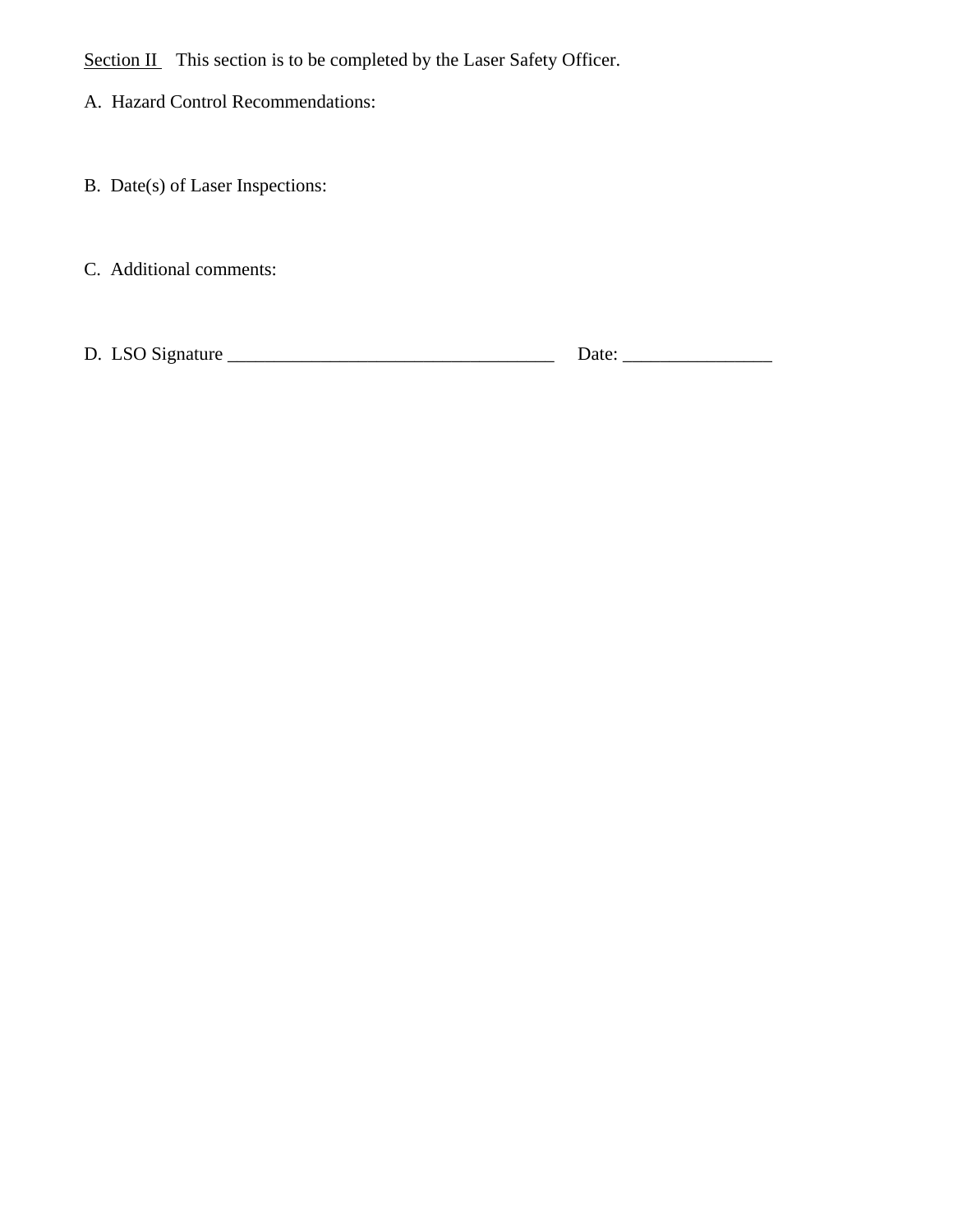Section II This section is to be completed by the Laser Safety Officer.

- A. Hazard Control Recommendations:
- B. Date(s) of Laser Inspections:

C. Additional comments:

D. LSO Signature \_\_\_\_\_\_\_\_\_\_\_\_\_\_\_\_\_\_\_\_\_\_\_\_\_\_\_\_\_\_\_\_\_\_\_ Date: \_\_\_\_\_\_\_\_\_\_\_\_\_\_\_\_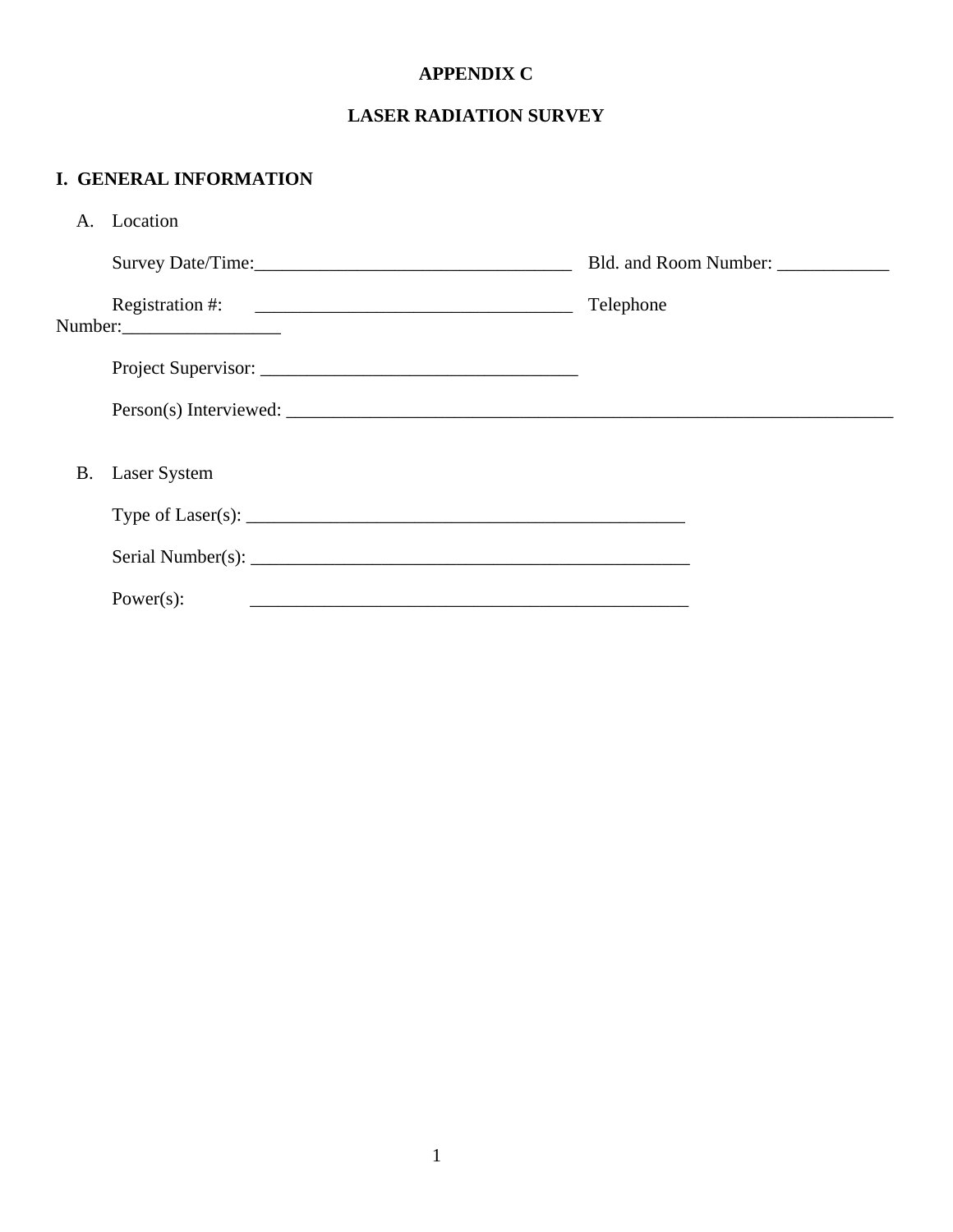# **APPENDIX C**

# **LASER RADIATION SURVEY**

## **I. GENERAL INFORMATION**

| Α. | Location                                                                                                                                                                                                                      |                                    |
|----|-------------------------------------------------------------------------------------------------------------------------------------------------------------------------------------------------------------------------------|------------------------------------|
|    |                                                                                                                                                                                                                               | Bld. and Room Number: ____________ |
|    | Registration #: $\qquad \qquad$                                                                                                                                                                                               | Telephone                          |
|    |                                                                                                                                                                                                                               |                                    |
|    | Person(s) Interviewed: Letters and the set of the set of the set of the set of the set of the set of the set of the set of the set of the set of the set of the set of the set of the set of the set of the set of the set of |                                    |
|    | B. Laser System                                                                                                                                                                                                               |                                    |
|    | Type of Laser(s): $\_\_$                                                                                                                                                                                                      |                                    |
|    |                                                                                                                                                                                                                               |                                    |
|    | Power $(s)$ :<br><u> 1989 - Johann Barbara, markazar margolaria (h. 1989).</u>                                                                                                                                                |                                    |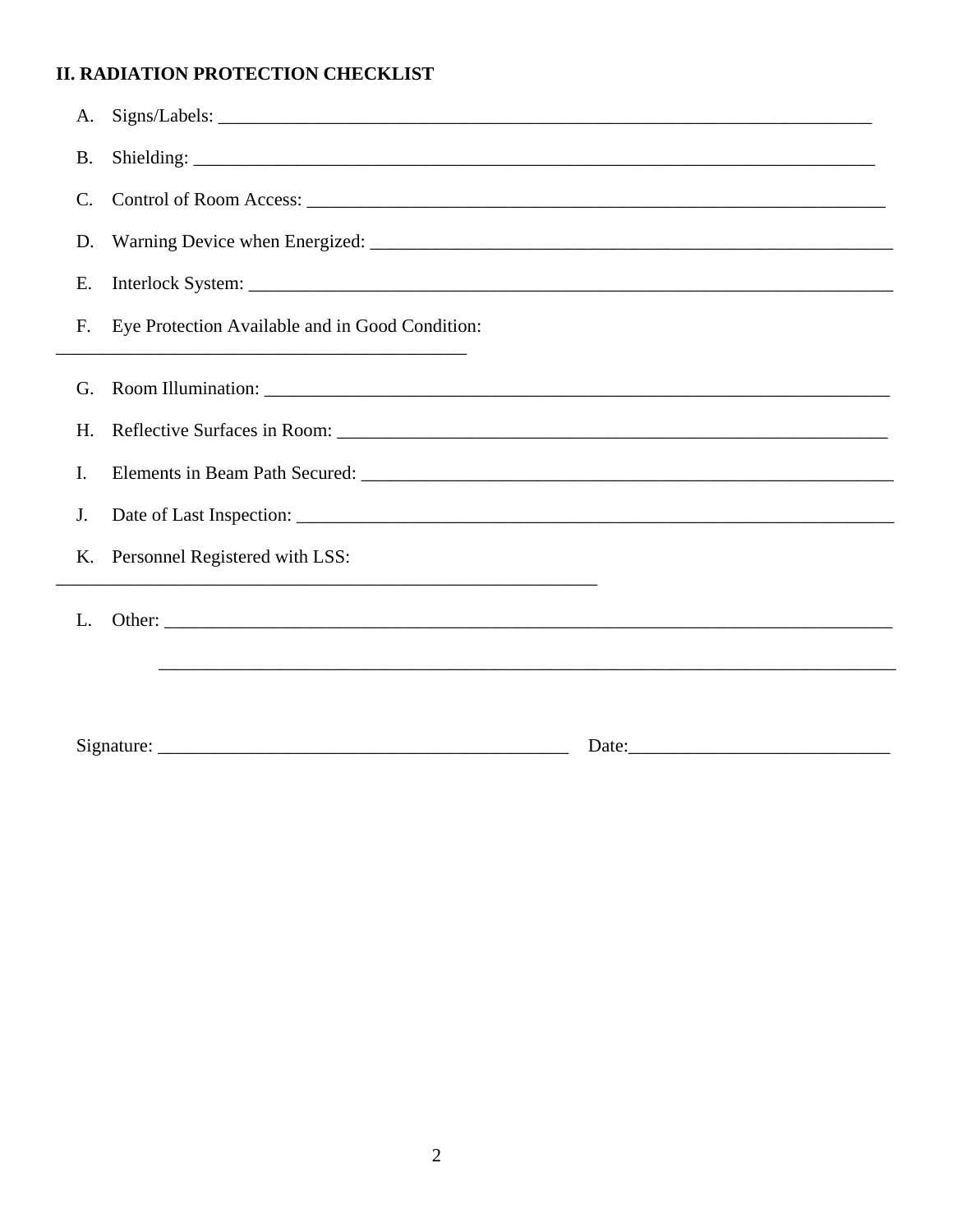# II. RADIATION PROTECTION CHECKLIST

| A.              |                                                 |  |  |  |  |
|-----------------|-------------------------------------------------|--|--|--|--|
| <b>B.</b>       |                                                 |  |  |  |  |
| $\mathcal{C}$ . |                                                 |  |  |  |  |
| D.              |                                                 |  |  |  |  |
| E.              |                                                 |  |  |  |  |
| F <sub>r</sub>  | Eye Protection Available and in Good Condition: |  |  |  |  |
| G.              |                                                 |  |  |  |  |
| H.              |                                                 |  |  |  |  |
| I.              |                                                 |  |  |  |  |
| J.              |                                                 |  |  |  |  |
| K.              | Personnel Registered with LSS:                  |  |  |  |  |
| L.              |                                                 |  |  |  |  |
|                 |                                                 |  |  |  |  |
|                 |                                                 |  |  |  |  |
|                 |                                                 |  |  |  |  |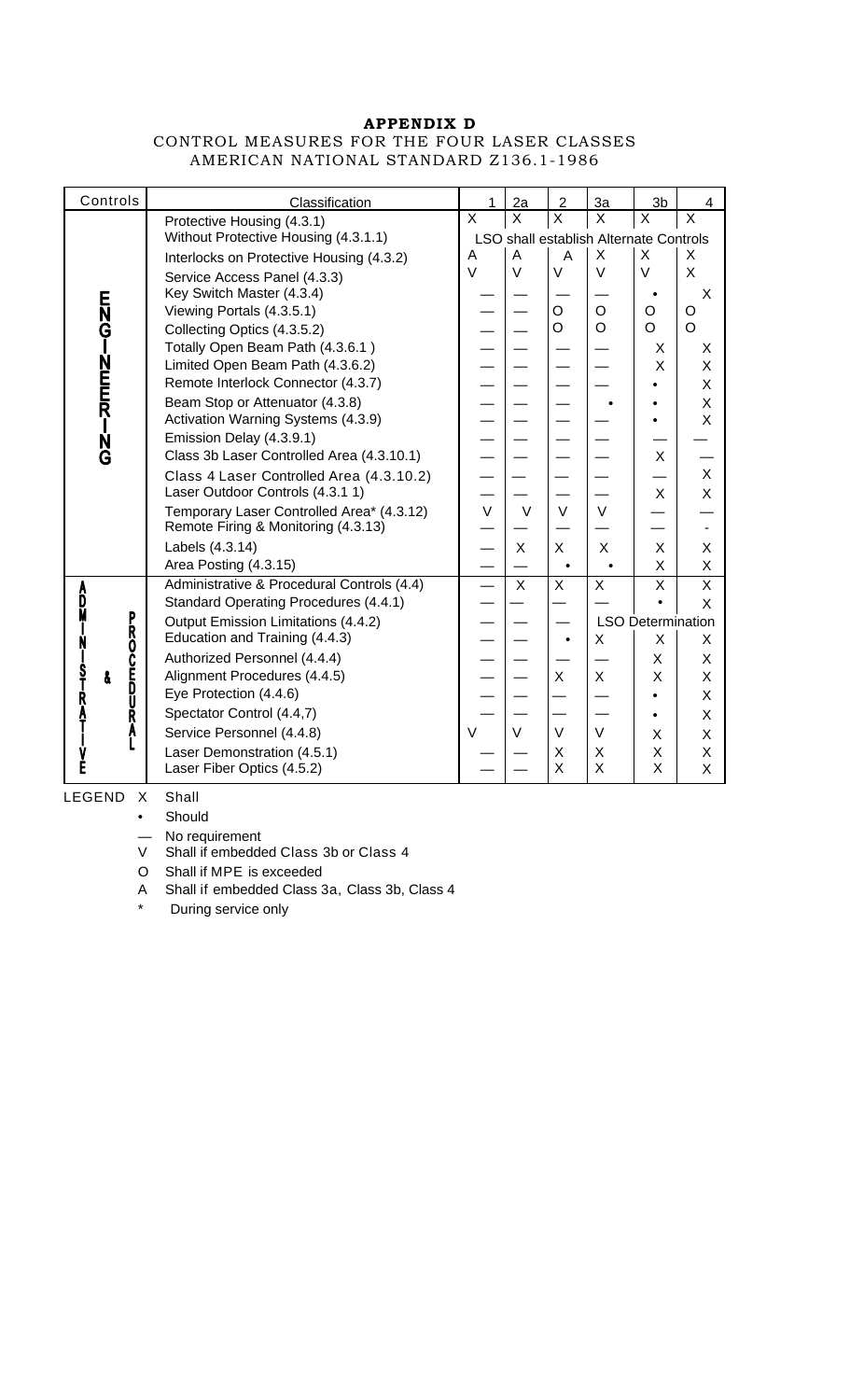# **APPENDIX D**

## CONTROL MEASURES FOR THE FOUR LASER CLASSES AMERICAN NATIONAL STANDARD Z136.1-1986

| Controls<br>Classification |                                                                      |                | 2a                      | $\overline{2}$          | 3a                                            | 3 <sub>b</sub>           | 4                            |
|----------------------------|----------------------------------------------------------------------|----------------|-------------------------|-------------------------|-----------------------------------------------|--------------------------|------------------------------|
|                            | Protective Housing (4.3.1)                                           | $\overline{X}$ | $\overline{\mathsf{x}}$ | $\overline{\mathsf{X}}$ | $\overline{X}$                                | $\overline{X}$           | $\overline{\mathsf{x}}$      |
|                            | Without Protective Housing (4.3.1.1)                                 |                |                         |                         | <b>LSO shall establish Alternate Controls</b> |                          |                              |
|                            | Interlocks on Protective Housing (4.3.2)                             | A              | A                       | $\overline{A}$          | X                                             | X                        | X                            |
|                            | $\vee$<br>Service Access Panel (4.3.3)                               |                | $\vee$                  | $\vee$                  | $\vee$                                        | $\vee$                   | $\mathsf{X}$                 |
|                            | Key Switch Master (4.3.4)                                            |                |                         |                         |                                               | $\bullet$                | X                            |
|                            | Viewing Portals (4.3.5.1)                                            |                |                         | $\circ$<br>$\circ$      | $\overline{O}$<br>$\circ$                     | O<br>$\Omega$            | O<br>$\circ$                 |
|                            | Collecting Optics (4.3.5.2)                                          |                |                         |                         |                                               |                          |                              |
|                            | Totally Open Beam Path (4.3.6.1)<br>Limited Open Beam Path (4.3.6.2) |                |                         |                         |                                               | Х<br>X                   | X<br>$\mathsf{X}$            |
|                            | Remote Interlock Connector (4.3.7)                                   |                |                         |                         |                                               |                          | X.                           |
|                            | Beam Stop or Attenuator (4.3.8)                                      |                |                         |                         |                                               |                          | X.                           |
|                            | Activation Warning Systems (4.3.9)                                   |                |                         |                         |                                               |                          | X                            |
|                            | Emission Delay (4.3.9.1)                                             |                |                         |                         |                                               |                          |                              |
| GZ-ZhmZ-GZF                | Class 3b Laser Controlled Area (4.3.10.1)                            |                |                         |                         |                                               | X                        |                              |
|                            | Class 4 Laser Controlled Area (4.3.10.2)                             |                |                         |                         |                                               |                          | X                            |
|                            | Laser Outdoor Controls (4.3.1 1)                                     |                |                         |                         |                                               | X                        | $\mathsf{X}$                 |
|                            | Temporary Laser Controlled Area* (4.3.12)                            | $\vee$         | $\vee$                  | V                       | $\vee$                                        |                          |                              |
|                            | Remote Firing & Monitoring (4.3.13)                                  |                |                         |                         |                                               |                          |                              |
|                            | Labels (4.3.14)                                                      |                | $\sf X$                 | X                       | X                                             | X                        | X                            |
|                            | Area Posting (4.3.15)                                                |                |                         | $\bullet$               |                                               | X                        | X.                           |
| Ą                          | Administrative & Procedural Controls (4.4)                           |                | $\overline{X}$          | $\mathsf{X}$            | $\overline{X}$                                | X                        | $\overline{X}$               |
| D                          | Standard Operating Procedures (4.4.1)                                |                |                         |                         |                                               | $\bullet$                | $\mathsf{X}$                 |
| <b>PROCED</b>              | Output Emission Limitations (4.4.2)                                  |                |                         |                         |                                               | <b>LSO Determination</b> |                              |
|                            | Education and Training (4.4.3)                                       |                |                         |                         | X                                             | X                        | X                            |
|                            | Authorized Personnel (4.4.4)                                         |                |                         |                         | $\mathsf{X}$                                  | $\mathsf{X}$             | X.                           |
| s<br>T<br>å                | Alignment Procedures (4.4.5)<br>Eye Protection (4.4.6)               |                |                         | X                       |                                               | $\mathsf{x}$             | $\mathsf{X}$<br>$\mathsf{X}$ |
| Ŗ<br>Ū                     | Spectator Control (4.4,7)                                            |                |                         |                         |                                               |                          |                              |
| ř<br>A                     |                                                                      | V              | $\vee$                  | $\vee$                  | $\vee$                                        | $\bullet$                | $\mathsf{X}$                 |
|                            | Service Personnel (4.4.8)                                            |                |                         | X                       | X                                             | X<br>X                   | X.<br>X.                     |
| Е                          | Laser Demonstration (4.5.1)<br>Laser Fiber Optics (4.5.2)            |                |                         | X                       | X                                             | X                        | X                            |
|                            |                                                                      |                |                         |                         |                                               |                          |                              |

LEGEND X Shall

• Should

— No requirement

V Shall if embedded Class 3b or Class 4

O Shall if MPE is exceeded

A Shall if embedded Class 3a, Class 3b, Class 4

\* During service only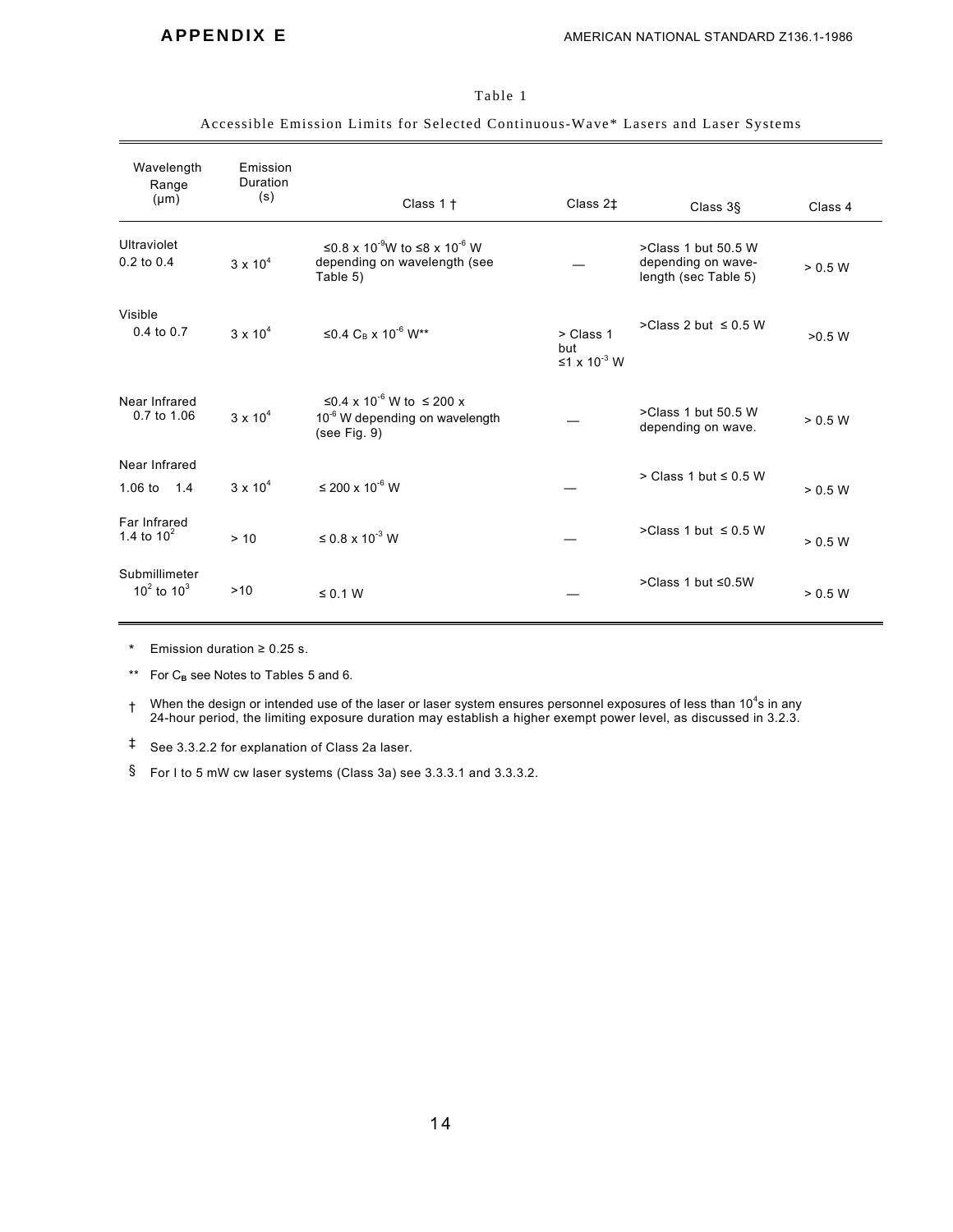#### Table 1

#### Accessible Emission Limits for Selected Continuous-Wave\* Lasers and Laser Systems

| Wavelength<br>Range<br>$(\mu m)$  | Emission<br>Duration<br>(s) | Class $1 +$                                                                                        | Class 2 <sup>±</sup>                        | Class 3§                                                          | Class 4 |
|-----------------------------------|-----------------------------|----------------------------------------------------------------------------------------------------|---------------------------------------------|-------------------------------------------------------------------|---------|
| Ultraviolet<br>$0.2$ to $0.4$     | $3 \times 10^4$             | ≤0.8 x 10 <sup>-9</sup> W to ≤8 x 10 <sup>-6</sup> W<br>depending on wavelength (see<br>Table 5)   |                                             | >Class 1 but 50.5 W<br>depending on wave-<br>length (sec Table 5) | > 0.5 W |
| Visible<br>$0.4$ to $0.7$         | $3 \times 10^4$             | ≤0.4 $C_B$ x 10 <sup>-6</sup> W <sup>**</sup>                                                      | > Class 1<br>but<br>≤1 x 10 <sup>-3</sup> W | >Class 2 but $\leq$ 0.5 W                                         | >0.5 W  |
| Near Infrared<br>0.7 to 1.06      | $3 \times 10^{4}$           | ≤0.4 x 10 <sup>-6</sup> W to ≤ 200 x<br>10 <sup>-6</sup> W depending on wavelength<br>(see Fig. 9) |                                             | >Class 1 but 50.5 W<br>depending on wave.                         | > 0.5 W |
| Near Infrared<br>$1.06$ to<br>1.4 | $3 \times 10^{4}$           | ≤ 200 x 10 <sup>-6</sup> W                                                                         |                                             | $>$ Class 1 but $\leq$ 0.5 W                                      | > 0.5 W |
| Far Infrared<br>1.4 to $10^2$     | > 10                        | ≤ 0.8 x 10 <sup>-3</sup> W                                                                         |                                             | >Class 1 but $\leq$ 0.5 W                                         | > 0.5 W |
| Submillimeter<br>$10^2$ to $10^3$ | $>10$                       | $\leq$ 0.1 W                                                                                       |                                             | >Class 1 but ≤0.5W                                                | > 0.5 W |

\* Emission duration ≥ 0.25 s.

\*\* For C<sub>B</sub> see Notes to Tables 5 and 6.

 $+$  When the design or intended use of the laser or laser system ensures personnel exposures of less than 10<sup>4</sup>s in any 24-hour period, the limiting exposure duration may establish a higher exempt power level, as discussed in 3.2.3.

‡ See 3.3.2.2 for explanation of Class 2a laser.

§ For I to 5 mW cw laser systems (Class 3a) see 3.3.3.1 and 3.3.3.2.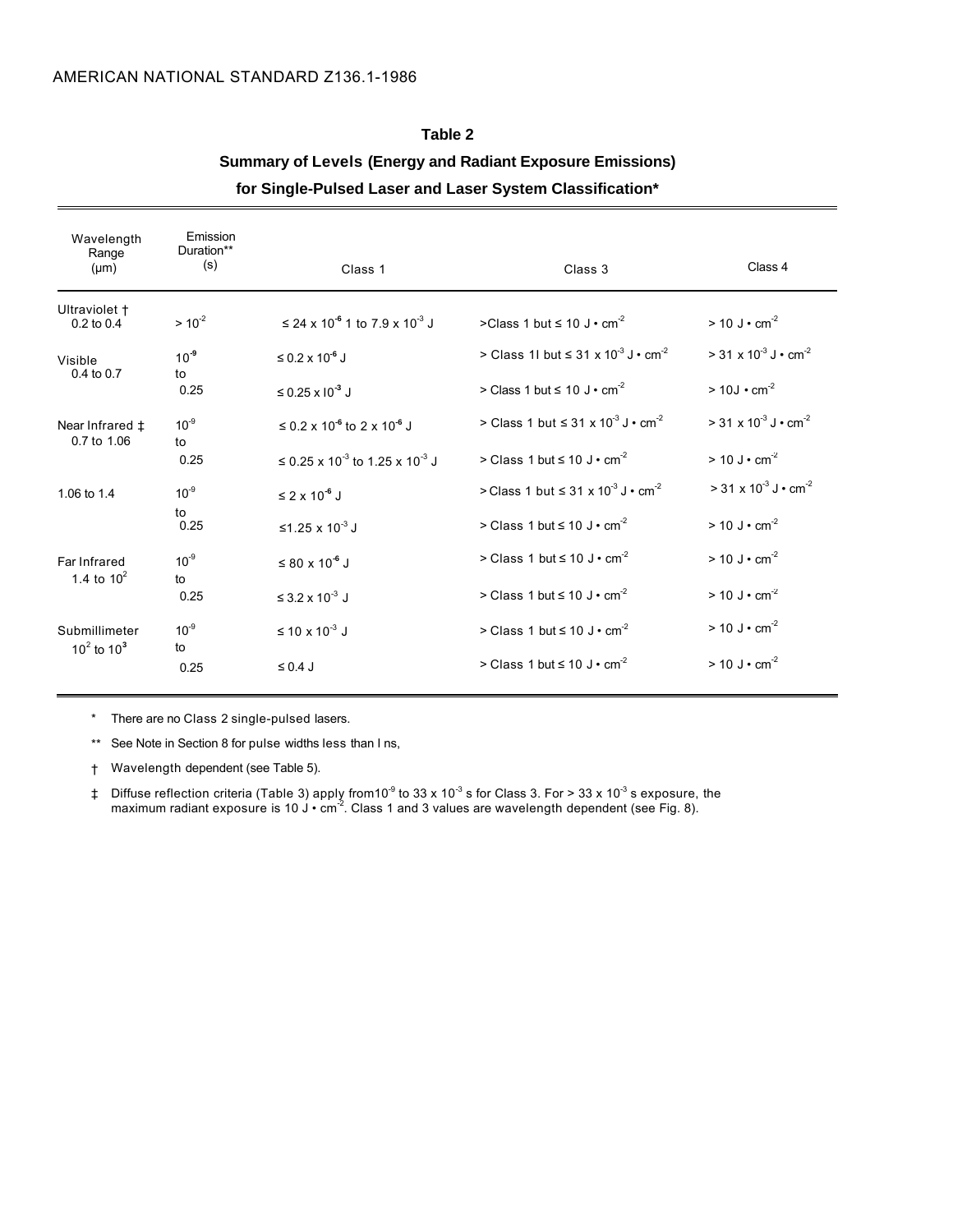| Table 2                                                          |
|------------------------------------------------------------------|
| <b>Summary of Levels (Energy and Radiant Exposure Emissions)</b> |
| for Single-Pulsed Laser and Laser System Classification*         |

| Wavelength<br>Range<br>$(\mu m)$        | Emission<br>Duration**<br>(s) | Class 1                                                | Class 3                                                            | Class 4                                          |
|-----------------------------------------|-------------------------------|--------------------------------------------------------|--------------------------------------------------------------------|--------------------------------------------------|
| Ultraviolet +<br>$0.2$ to $0.4$         | $> 10^{-2}$                   | ≤ 24 x 10 <sup>-6</sup> 1 to 7.9 x 10 <sup>-3</sup> J  | >Class 1 but $\leq 10$ J $\cdot$ cm <sup>-2</sup>                  | $> 10 \text{ J} \cdot \text{cm}^{-2}$            |
| Visible<br>0.4 to 0.7                   | $10^{-9}$<br>to               | $≤ 0.2 × 10-6$ J                                       | > Class 11 but $\leq 31 \times 10^{-3}$ J $\cdot$ cm <sup>-2</sup> | $>$ 31 x 10 <sup>-3</sup> J • cm <sup>-2</sup>   |
|                                         | 0.25                          | ≤ 0.25 x 10 <sup>-3</sup> J                            | > Class 1 but $\leq 10$ J $\cdot$ cm <sup>-2</sup>                 | $> 10J \cdot cm^{-2}$                            |
| Near Infrared $\ddagger$<br>0.7 to 1.06 | $10^{-9}$<br>to               | $≤ 0.2 \times 10^{-6}$ to 2 x 10 <sup>-6</sup> J       | > Class 1 but $\leq 31 \times 10^3$ J $\cdot$ cm <sup>2</sup>      | $> 31 \times 10^{-3}$ J $\cdot$ cm <sup>-2</sup> |
|                                         | 0.25                          | ≤ 0.25 x 10 <sup>-3</sup> to 1.25 x 10 <sup>-3</sup> J | > Class 1 but $\leq$ 10 J $\cdot$ cm <sup>-2</sup>                 | $> 10 \text{ J} \cdot \text{cm}^{-2}$            |
| 1.06 to 1.4                             | $10^{-9}$                     | $\leq$ 2 x 10 <sup>-6</sup> J                          | > Class 1 but $\leq 31 \times 10^3$ J $\cdot$ cm <sup>2</sup>      | $> 31 \times 10^{-3}$ J $\cdot$ cm <sup>-2</sup> |
|                                         | to<br>0.25                    | ≤1 25 x 10 <sup>-3</sup> J                             | > Class 1 but $\leq$ 10 J $\cdot$ cm <sup>2</sup>                  | $> 10 \text{ J} \cdot \text{cm}^{-2}$            |
| Far Infrared<br>1.4 to $10^2$           | $10^{-9}$<br>to               | ≤ 80 x 10 <sup>-6</sup> J                              | > Class 1 but $\leq$ 10 J $\cdot$ cm <sup>2</sup>                  | $> 10 \text{ J} \cdot \text{cm}^{-2}$            |
|                                         | 0.25                          | ≤ 3.2 x 10 <sup>-3</sup> J                             | > Class 1 but $\leq$ 10 J $\cdot$ cm <sup>-2</sup>                 | $> 10 \text{ J} \cdot \text{cm}^{-2}$            |
| Submillimeter<br>$10^2$ to $10^3$       | $10^{-9}$<br>to               | ≤ 10 x 10 <sup>-3</sup> J                              | > Class 1 but $\leq$ 10 J $\cdot$ cm <sup>2</sup>                  | $> 10 \text{ J} \cdot \text{cm}^{-2}$            |
|                                         | 0.25                          | $\leq 0.4$ J                                           | > Class 1 but $\leq$ 10 J $\cdot$ cm <sup>-2</sup>                 | $> 10 \text{ J} \cdot \text{cm}^{-2}$            |

\* There are no Class 2 single-pulsed lasers.

\*\* See Note in Section 8 for pulse widths less than I ns,

† Wavelength dependent (see Table 5).

 $\ddagger$  Diffuse reflection criteria (Table 3) apply from10<sup>-9</sup> to 33 x 10<sup>-3</sup> s for Class 3. For > 33 x 10<sup>-3</sup> s exposure, the maximum radiant exposure is 10 J  $\cdot$  cm<sup>2</sup>. Class 1 and 3 values are wavelength dependent (see Fig. 8).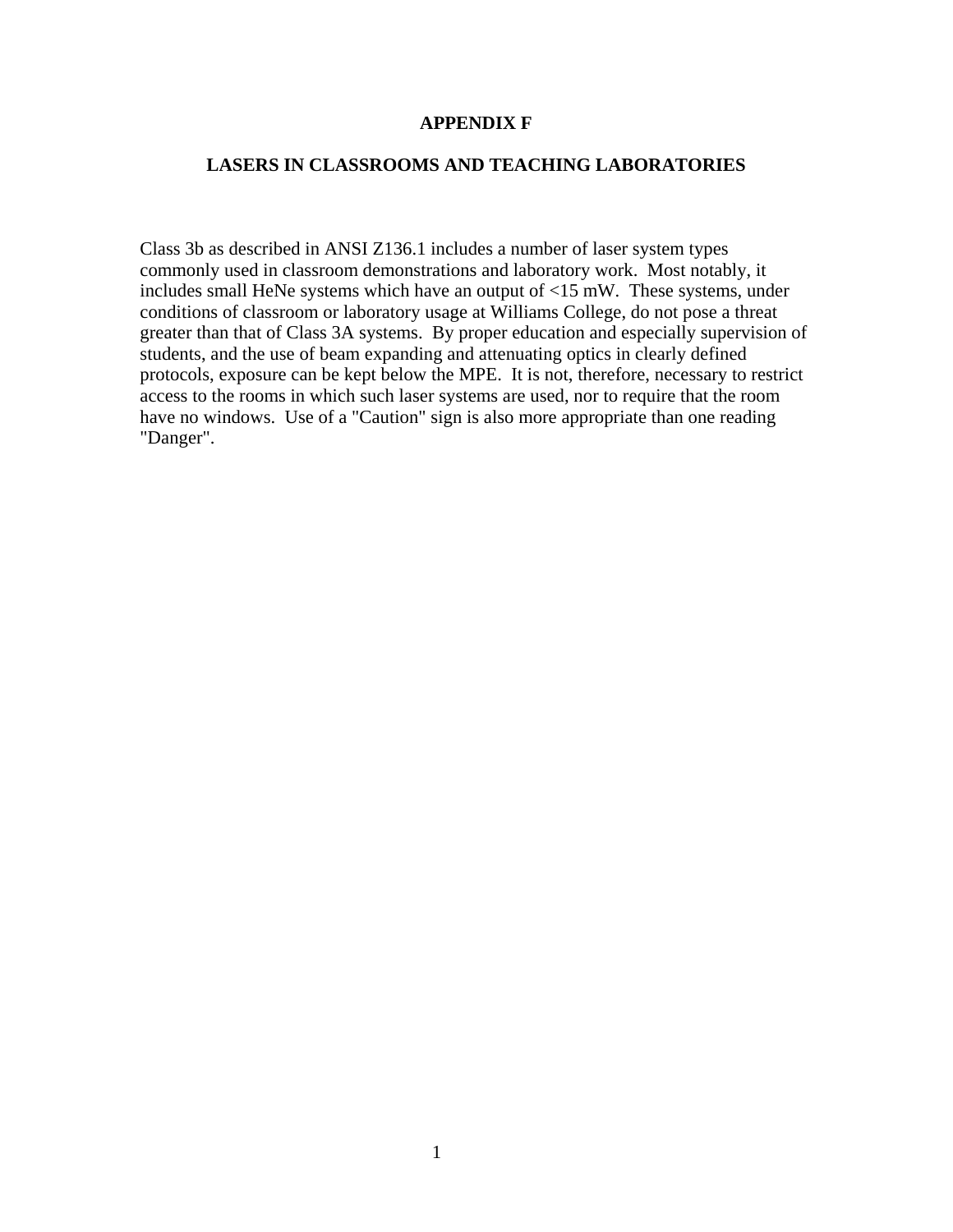#### **APPENDIX F**

### **LASERS IN CLASSROOMS AND TEACHING LABORATORIES**

Class 3b as described in ANSI Z136.1 includes a number of laser system types commonly used in classroom demonstrations and laboratory work. Most notably, it includes small HeNe systems which have an output of <15 mW. These systems, under conditions of classroom or laboratory usage at Williams College, do not pose a threat greater than that of Class 3A systems. By proper education and especially supervision of students, and the use of beam expanding and attenuating optics in clearly defined protocols, exposure can be kept below the MPE. It is not, therefore, necessary to restrict access to the rooms in which such laser systems are used, nor to require that the room have no windows. Use of a "Caution" sign is also more appropriate than one reading "Danger".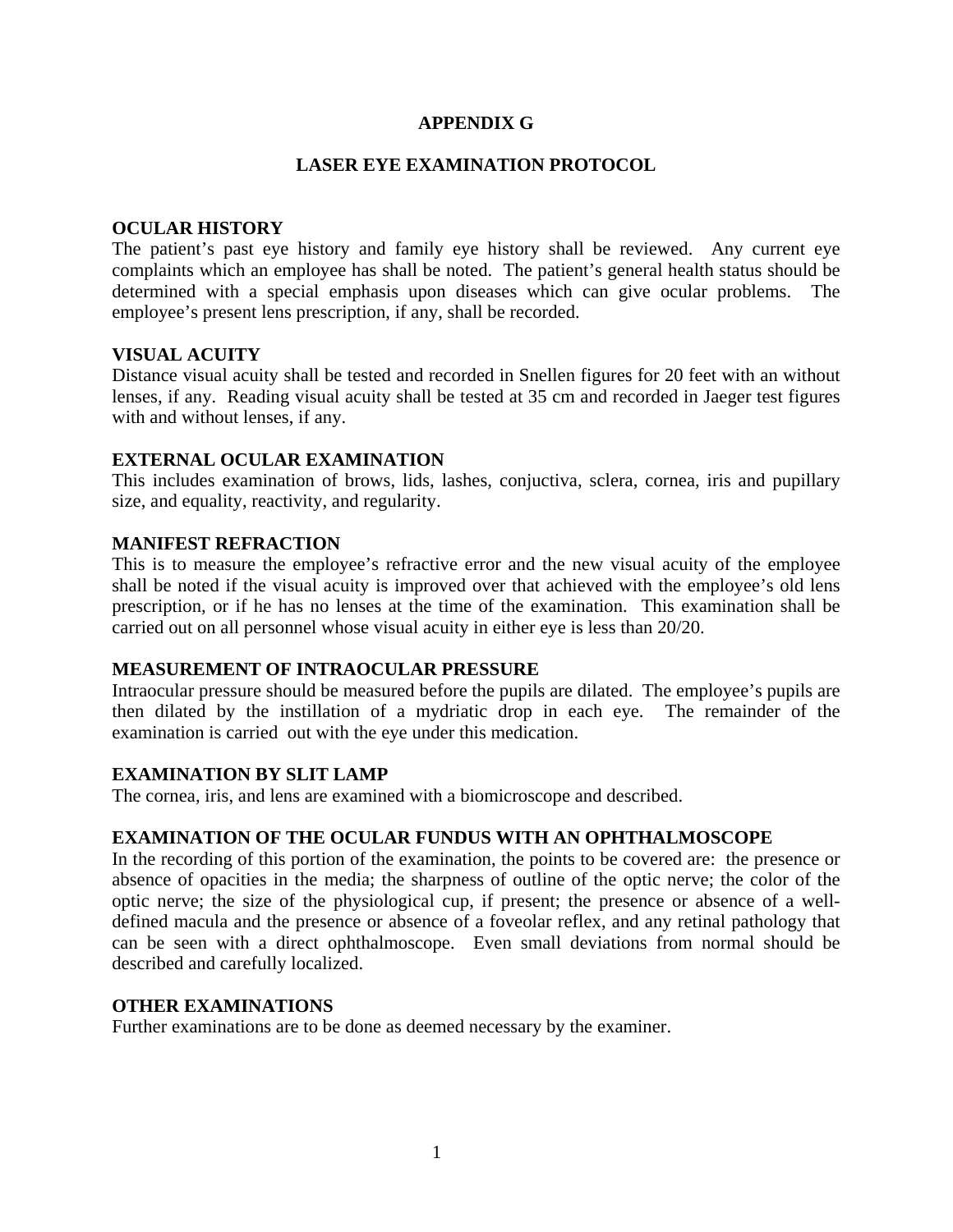#### **APPENDIX G**

#### **LASER EYE EXAMINATION PROTOCOL**

#### **OCULAR HISTORY**

The patient's past eye history and family eye history shall be reviewed. Any current eye complaints which an employee has shall be noted. The patient's general health status should be determined with a special emphasis upon diseases which can give ocular problems. The employee's present lens prescription, if any, shall be recorded.

#### **VISUAL ACUITY**

Distance visual acuity shall be tested and recorded in Snellen figures for 20 feet with an without lenses, if any. Reading visual acuity shall be tested at 35 cm and recorded in Jaeger test figures with and without lenses, if any.

#### **EXTERNAL OCULAR EXAMINATION**

This includes examination of brows, lids, lashes, conjuctiva, sclera, cornea, iris and pupillary size, and equality, reactivity, and regularity.

#### **MANIFEST REFRACTION**

This is to measure the employee's refractive error and the new visual acuity of the employee shall be noted if the visual acuity is improved over that achieved with the employee's old lens prescription, or if he has no lenses at the time of the examination. This examination shall be carried out on all personnel whose visual acuity in either eye is less than 20/20.

#### **MEASUREMENT OF INTRAOCULAR PRESSURE**

Intraocular pressure should be measured before the pupils are dilated. The employee's pupils are then dilated by the instillation of a mydriatic drop in each eye. The remainder of the examination is carried out with the eye under this medication.

### **EXAMINATION BY SLIT LAMP**

The cornea, iris, and lens are examined with a biomicroscope and described.

### **EXAMINATION OF THE OCULAR FUNDUS WITH AN OPHTHALMOSCOPE**

In the recording of this portion of the examination, the points to be covered are: the presence or absence of opacities in the media; the sharpness of outline of the optic nerve; the color of the optic nerve; the size of the physiological cup, if present; the presence or absence of a welldefined macula and the presence or absence of a foveolar reflex, and any retinal pathology that can be seen with a direct ophthalmoscope. Even small deviations from normal should be described and carefully localized.

#### **OTHER EXAMINATIONS**

Further examinations are to be done as deemed necessary by the examiner.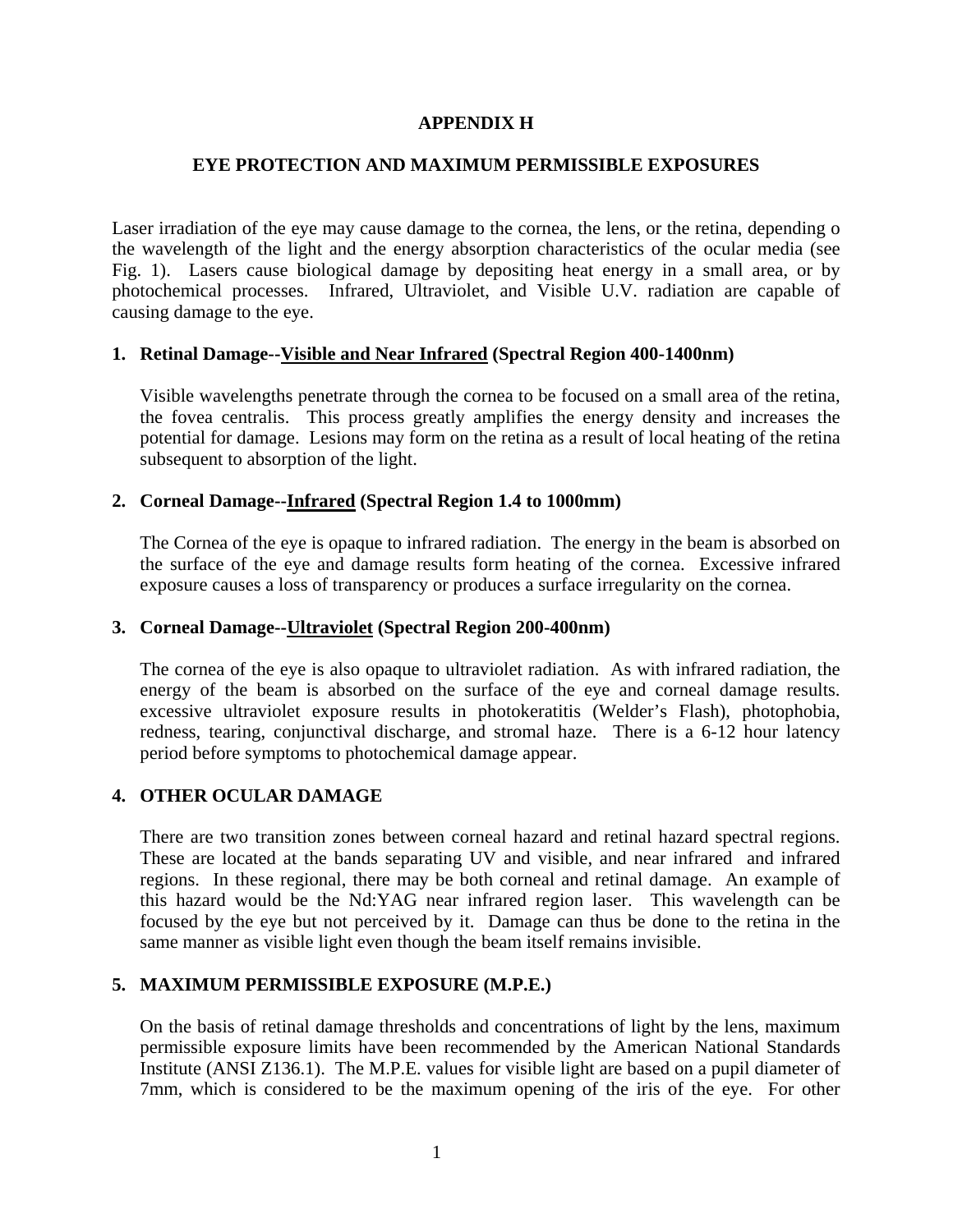### **APPENDIX H**

### **EYE PROTECTION AND MAXIMUM PERMISSIBLE EXPOSURES**

Laser irradiation of the eye may cause damage to the cornea, the lens, or the retina, depending o the wavelength of the light and the energy absorption characteristics of the ocular media (see Fig. 1). Lasers cause biological damage by depositing heat energy in a small area, or by photochemical processes. Infrared, Ultraviolet, and Visible U.V. radiation are capable of causing damage to the eye.

### **1. Retinal Damage--Visible and Near Infrared (Spectral Region 400-1400nm)**

 Visible wavelengths penetrate through the cornea to be focused on a small area of the retina, the fovea centralis. This process greatly amplifies the energy density and increases the potential for damage. Lesions may form on the retina as a result of local heating of the retina subsequent to absorption of the light.

### **2. Corneal Damage--Infrared (Spectral Region 1.4 to 1000mm)**

 The Cornea of the eye is opaque to infrared radiation. The energy in the beam is absorbed on the surface of the eye and damage results form heating of the cornea. Excessive infrared exposure causes a loss of transparency or produces a surface irregularity on the cornea.

### **3. Corneal Damage--Ultraviolet (Spectral Region 200-400nm)**

 The cornea of the eye is also opaque to ultraviolet radiation. As with infrared radiation, the energy of the beam is absorbed on the surface of the eye and corneal damage results. excessive ultraviolet exposure results in photokeratitis (Welder's Flash), photophobia, redness, tearing, conjunctival discharge, and stromal haze. There is a 6-12 hour latency period before symptoms to photochemical damage appear.

### **4. OTHER OCULAR DAMAGE**

 There are two transition zones between corneal hazard and retinal hazard spectral regions. These are located at the bands separating UV and visible, and near infrared and infrared regions. In these regional, there may be both corneal and retinal damage. An example of this hazard would be the Nd:YAG near infrared region laser. This wavelength can be focused by the eye but not perceived by it. Damage can thus be done to the retina in the same manner as visible light even though the beam itself remains invisible.

### **5. MAXIMUM PERMISSIBLE EXPOSURE (M.P.E.)**

 On the basis of retinal damage thresholds and concentrations of light by the lens, maximum permissible exposure limits have been recommended by the American National Standards Institute (ANSI Z136.1). The M.P.E. values for visible light are based on a pupil diameter of 7mm, which is considered to be the maximum opening of the iris of the eye. For other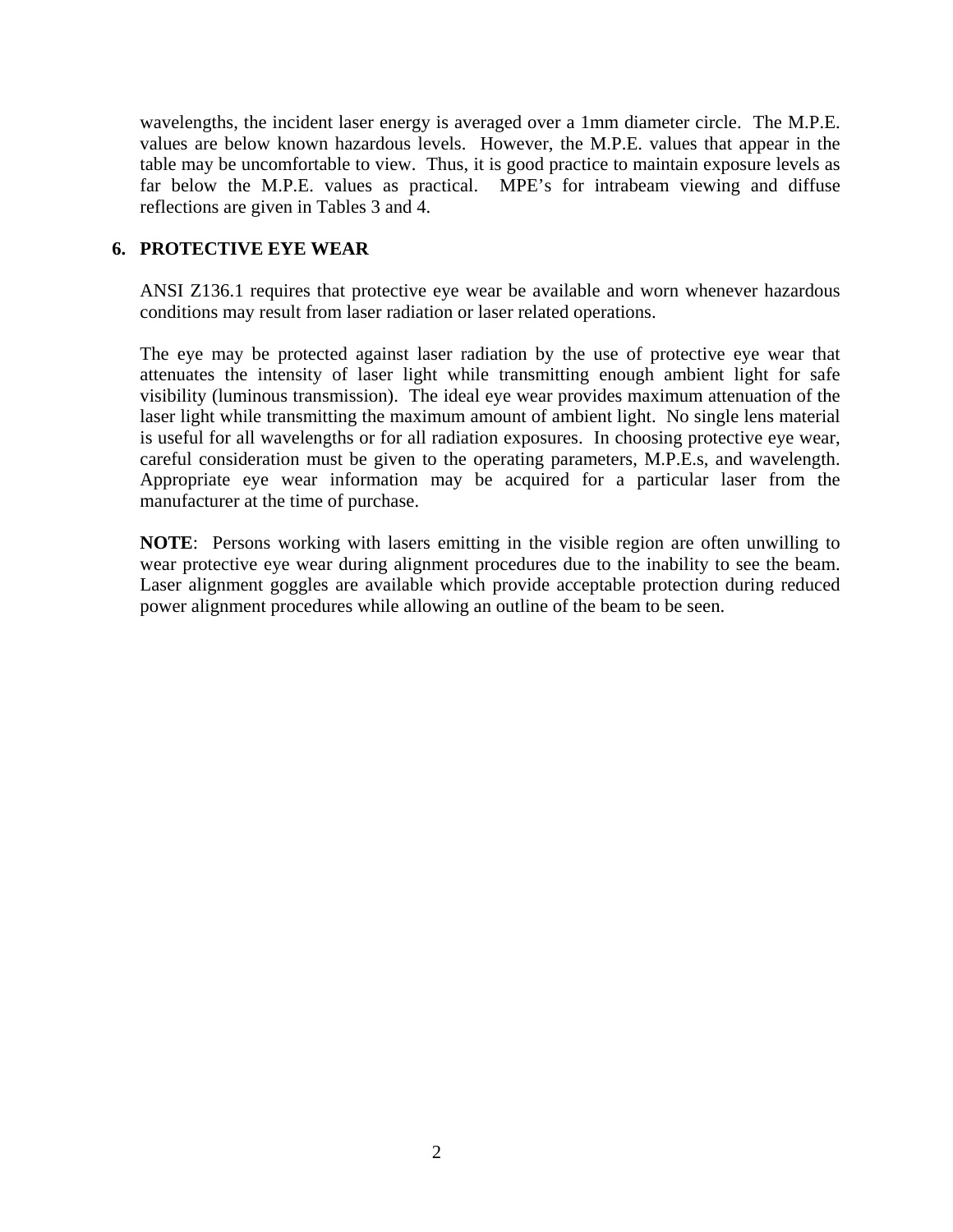wavelengths, the incident laser energy is averaged over a 1mm diameter circle. The M.P.E. values are below known hazardous levels. However, the M.P.E. values that appear in the table may be uncomfortable to view. Thus, it is good practice to maintain exposure levels as far below the M.P.E. values as practical. MPE's for intrabeam viewing and diffuse reflections are given in Tables 3 and 4.

### **6. PROTECTIVE EYE WEAR**

 ANSI Z136.1 requires that protective eye wear be available and worn whenever hazardous conditions may result from laser radiation or laser related operations.

 The eye may be protected against laser radiation by the use of protective eye wear that attenuates the intensity of laser light while transmitting enough ambient light for safe visibility (luminous transmission). The ideal eye wear provides maximum attenuation of the laser light while transmitting the maximum amount of ambient light. No single lens material is useful for all wavelengths or for all radiation exposures. In choosing protective eye wear, careful consideration must be given to the operating parameters, M.P.E.s, and wavelength. Appropriate eye wear information may be acquired for a particular laser from the manufacturer at the time of purchase.

**NOTE**: Persons working with lasers emitting in the visible region are often unwilling to wear protective eye wear during alignment procedures due to the inability to see the beam. Laser alignment goggles are available which provide acceptable protection during reduced power alignment procedures while allowing an outline of the beam to be seen.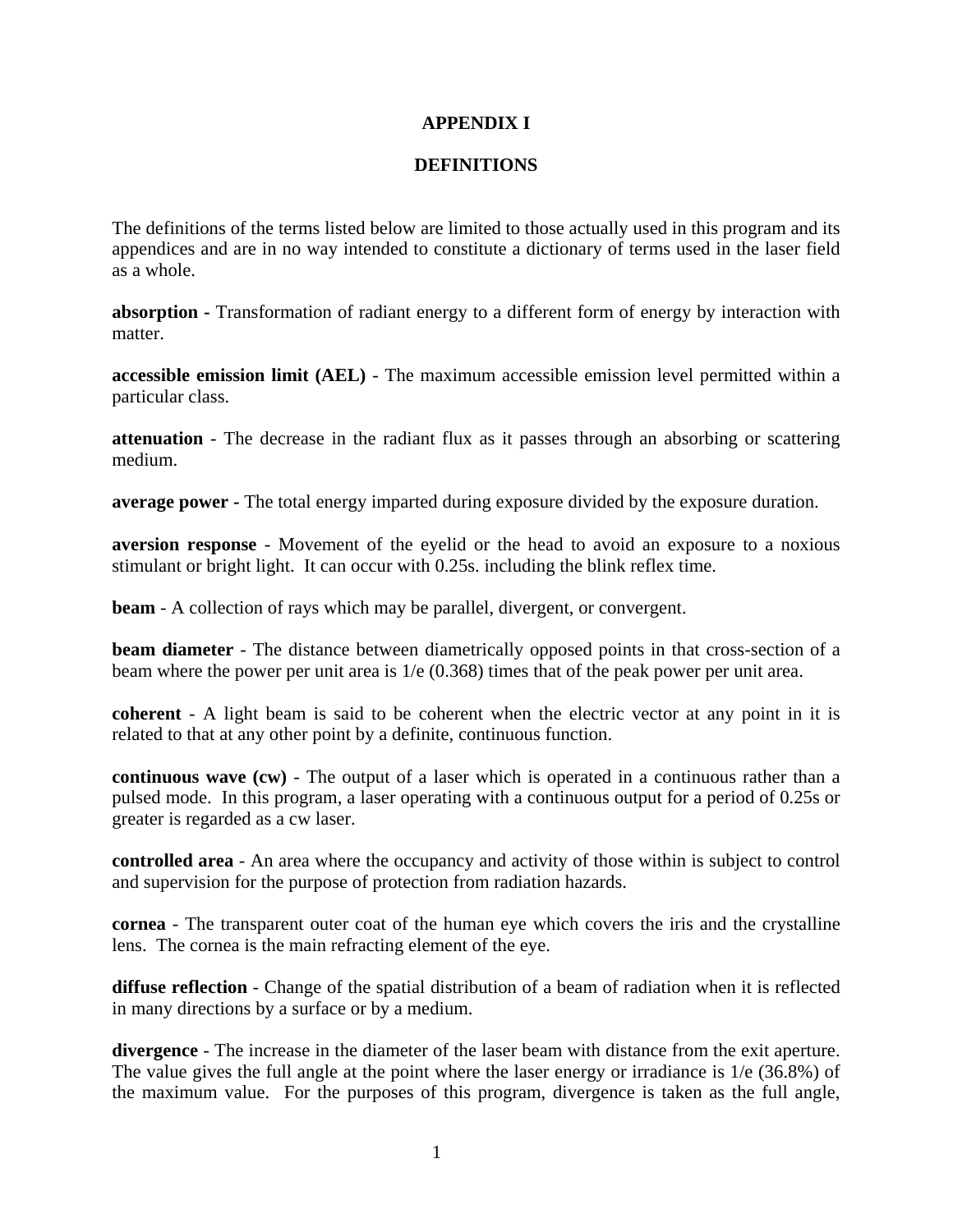### **APPENDIX I**

### **DEFINITIONS**

The definitions of the terms listed below are limited to those actually used in this program and its appendices and are in no way intended to constitute a dictionary of terms used in the laser field as a whole.

**absorption -** Transformation of radiant energy to a different form of energy by interaction with matter.

**accessible emission limit (AEL)** - The maximum accessible emission level permitted within a particular class.

**attenuation** - The decrease in the radiant flux as it passes through an absorbing or scattering medium.

**average power -** The total energy imparted during exposure divided by the exposure duration.

**aversion response** - Movement of the eyelid or the head to avoid an exposure to a noxious stimulant or bright light. It can occur with 0.25s. including the blink reflex time.

**beam** - A collection of rays which may be parallel, divergent, or convergent.

**beam diameter** - The distance between diametrically opposed points in that cross-section of a beam where the power per unit area is 1/e (0.368) times that of the peak power per unit area.

**coherent** - A light beam is said to be coherent when the electric vector at any point in it is related to that at any other point by a definite, continuous function.

**continuous wave (cw)** - The output of a laser which is operated in a continuous rather than a pulsed mode. In this program, a laser operating with a continuous output for a period of 0.25s or greater is regarded as a cw laser.

**controlled area** - An area where the occupancy and activity of those within is subject to control and supervision for the purpose of protection from radiation hazards.

**cornea** - The transparent outer coat of the human eye which covers the iris and the crystalline lens. The cornea is the main refracting element of the eye.

**diffuse reflection** - Change of the spatial distribution of a beam of radiation when it is reflected in many directions by a surface or by a medium.

**divergence** - The increase in the diameter of the laser beam with distance from the exit aperture. The value gives the full angle at the point where the laser energy or irradiance is 1/e (36.8%) of the maximum value. For the purposes of this program, divergence is taken as the full angle,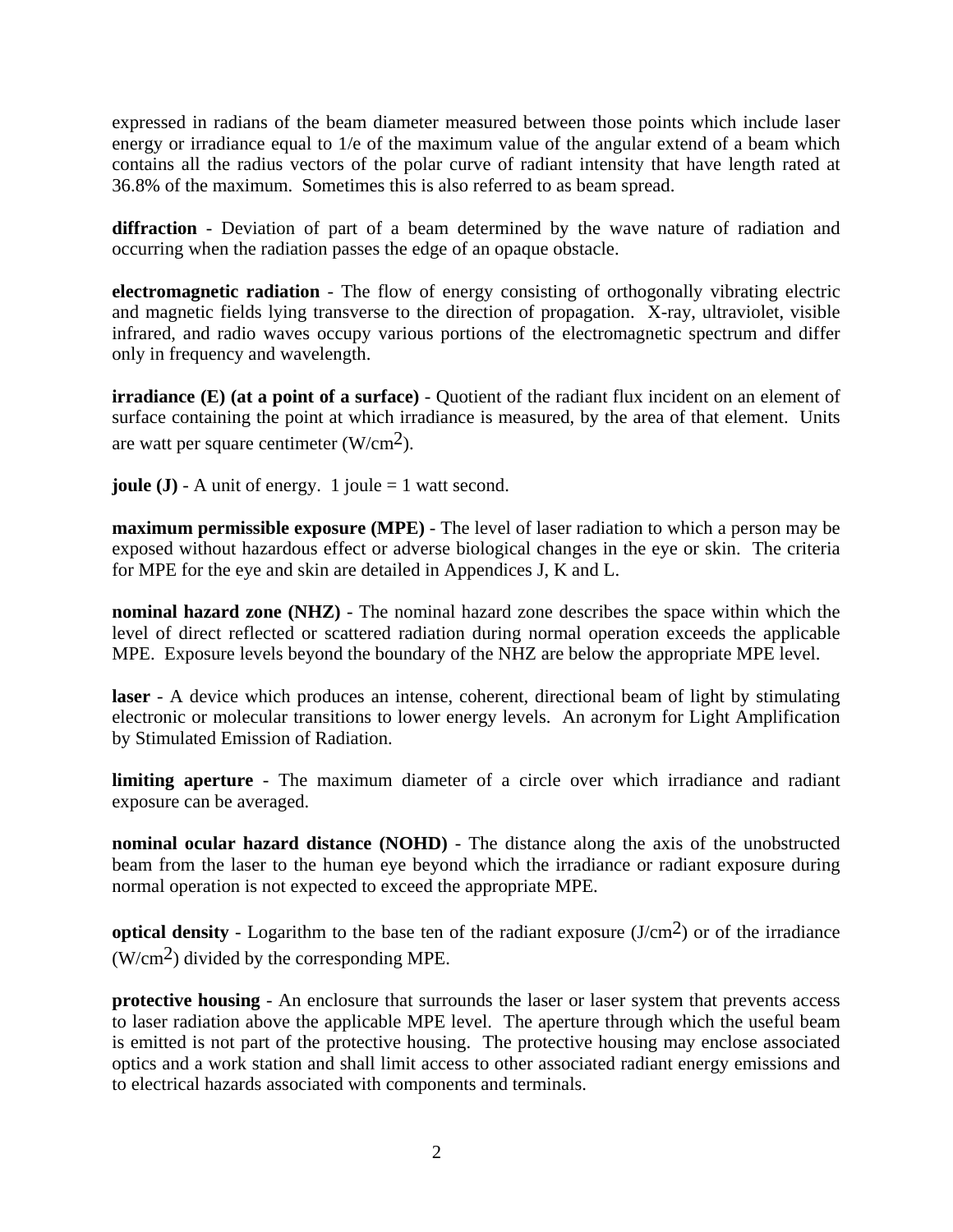expressed in radians of the beam diameter measured between those points which include laser energy or irradiance equal to 1/e of the maximum value of the angular extend of a beam which contains all the radius vectors of the polar curve of radiant intensity that have length rated at 36.8% of the maximum. Sometimes this is also referred to as beam spread.

**diffraction** - Deviation of part of a beam determined by the wave nature of radiation and occurring when the radiation passes the edge of an opaque obstacle.

**electromagnetic radiation** - The flow of energy consisting of orthogonally vibrating electric and magnetic fields lying transverse to the direction of propagation. X-ray, ultraviolet, visible infrared, and radio waves occupy various portions of the electromagnetic spectrum and differ only in frequency and wavelength.

**irradiance (E) (at a point of a surface)** - Quotient of the radiant flux incident on an element of surface containing the point at which irradiance is measured, by the area of that element. Units are watt per square centimeter  $(W/cm<sup>2</sup>)$ .

**joule (J)** - A unit of energy. 1 joule  $= 1$  watt second.

**maximum permissible exposure (MPE)** - The level of laser radiation to which a person may be exposed without hazardous effect or adverse biological changes in the eye or skin. The criteria for MPE for the eye and skin are detailed in Appendices J, K and L.

**nominal hazard zone (NHZ)** - The nominal hazard zone describes the space within which the level of direct reflected or scattered radiation during normal operation exceeds the applicable MPE. Exposure levels beyond the boundary of the NHZ are below the appropriate MPE level.

**laser** - A device which produces an intense, coherent, directional beam of light by stimulating electronic or molecular transitions to lower energy levels. An acronym for Light Amplification by Stimulated Emission of Radiation.

**limiting aperture** - The maximum diameter of a circle over which irradiance and radiant exposure can be averaged.

**nominal ocular hazard distance (NOHD)** - The distance along the axis of the unobstructed beam from the laser to the human eye beyond which the irradiance or radiant exposure during normal operation is not expected to exceed the appropriate MPE.

**optical density** - Logarithm to the base ten of the radiant exposure (J/cm<sup>2</sup>) or of the irradiance (W/cm2) divided by the corresponding MPE.

**protective housing** - An enclosure that surrounds the laser or laser system that prevents access to laser radiation above the applicable MPE level. The aperture through which the useful beam is emitted is not part of the protective housing. The protective housing may enclose associated optics and a work station and shall limit access to other associated radiant energy emissions and to electrical hazards associated with components and terminals.